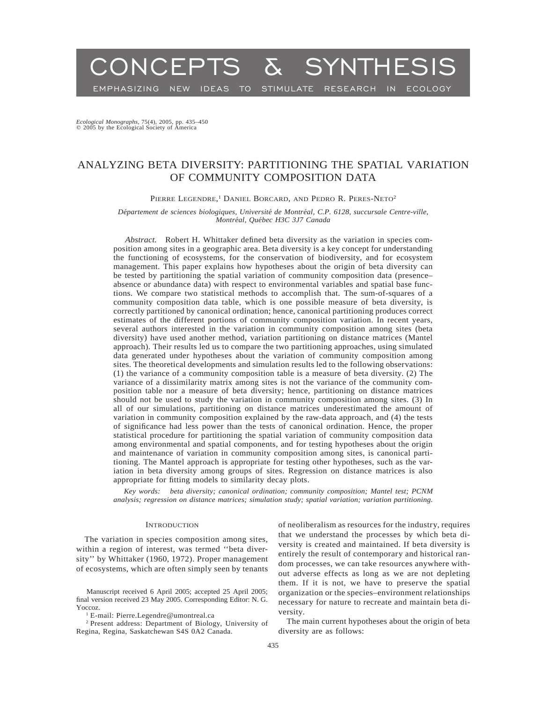# CONCEPTS & SYNTHESIS

EMPHASIZING NEW IDEAS TO STIMULATE RESEARCH IN ECOLOGY

*Ecological Monographs,* 75(4), 2005, pp. 435–450 <sup>q</sup> 2005 by the Ecological Society of America

## ANALYZING BETA DIVERSITY: PARTITIONING THE SPATIAL VARIATION OF COMMUNITY COMPOSITION DATA

#### PIERRE LEGENDRE, <sup>1</sup> DANIEL BORCARD, AND PEDRO R. PERES-NETO2

*De´partement de sciences biologiques, Universite´ de Montre´al, C.P. 6128, succursale Centre-ville, Montre´al, Que´bec H3C 3J7 Canada*

*Abstract.* Robert H. Whittaker defined beta diversity as the variation in species composition among sites in a geographic area. Beta diversity is a key concept for understanding the functioning of ecosystems, for the conservation of biodiversity, and for ecosystem management. This paper explains how hypotheses about the origin of beta diversity can be tested by partitioning the spatial variation of community composition data (presence– absence or abundance data) with respect to environmental variables and spatial base functions. We compare two statistical methods to accomplish that. The sum-of-squares of a community composition data table, which is one possible measure of beta diversity, is correctly partitioned by canonical ordination; hence, canonical partitioning produces correct estimates of the different portions of community composition variation. In recent years, several authors interested in the variation in community composition among sites (beta diversity) have used another method, variation partitioning on distance matrices (Mantel approach). Their results led us to compare the two partitioning approaches, using simulated data generated under hypotheses about the variation of community composition among sites. The theoretical developments and simulation results led to the following observations: (1) the variance of a community composition table is a measure of beta diversity. (2) The variance of a dissimilarity matrix among sites is not the variance of the community composition table nor a measure of beta diversity; hence, partitioning on distance matrices should not be used to study the variation in community composition among sites. (3) In all of our simulations, partitioning on distance matrices underestimated the amount of variation in community composition explained by the raw-data approach, and (4) the tests of significance had less power than the tests of canonical ordination. Hence, the proper statistical procedure for partitioning the spatial variation of community composition data among environmental and spatial components, and for testing hypotheses about the origin and maintenance of variation in community composition among sites, is canonical partitioning. The Mantel approach is appropriate for testing other hypotheses, such as the variation in beta diversity among groups of sites. Regression on distance matrices is also appropriate for fitting models to similarity decay plots.

*Key words: beta diversity; canonical ordination; community composition; Mantel test; PCNM analysis; regression on distance matrices; simulation study; spatial variation; variation partitioning.*

## **INTRODUCTION**

The variation in species composition among sites, within a region of interest, was termed ''beta diversity'' by Whittaker (1960, 1972). Proper management of ecosystems, which are often simply seen by tenants

Manuscript received 6 April 2005; accepted 25 April 2005; final version received 23 May 2005. Corresponding Editor: N. G. Yoccoz.

<sup>1</sup> E-mail: Pierre.Legendre@umontreal.ca

<sup>2</sup> Present address: Department of Biology, University of Regina, Regina, Saskatchewan S4S 0A2 Canada.

of neoliberalism as resources for the industry, requires that we understand the processes by which beta diversity is created and maintained. If beta diversity is entirely the result of contemporary and historical random processes, we can take resources anywhere without adverse effects as long as we are not depleting them. If it is not, we have to preserve the spatial organization or the species–environment relationships necessary for nature to recreate and maintain beta diversity.

The main current hypotheses about the origin of beta diversity are as follows: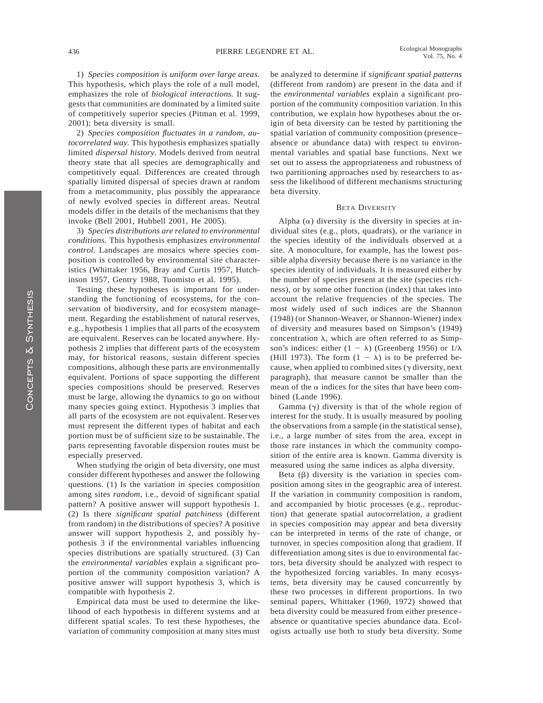1) *Species composition is uniform over large areas.* This hypothesis, which plays the role of a null model, emphasizes the role of *biological interactions.* It suggests that communities are dominated by a limited suite of competitively superior species (Pitman et al. 1999, 2001); beta diversity is small.

2) *Species composition fluctuates in a random, autocorrelated way.* This hypothesis emphasizes spatially limited *dispersal history.* Models derived from neutral theory state that all species are demographically and competitively equal. Differences are created through spatially limited dispersal of species drawn at random from a metacommunity, plus possibly the appearance of newly evolved species in different areas. Neutral models differ in the details of the mechanisms that they invoke (Bell 2001, Hubbell 2001, He 2005).

3) *Species distributions are related to environmental conditions.* This hypothesis emphasizes *environmental control.* Landscapes are mosaics where species composition is controlled by environmental site characteristics (Whittaker 1956, Bray and Curtis 1957, Hutchinson 1957, Gentry 1988, Tuomisto et al. 1995).

Testing these hypotheses is important for understanding the functioning of ecosystems, for the conservation of biodiversity, and for ecosystem management. Regarding the establishment of natural reserves, e.g., hypothesis 1 implies that all parts of the ecosystem are equivalent. Reserves can be located anywhere. Hypothesis 2 implies that different parts of the ecosystem may, for historical reasons, sustain different species compositions, although these parts are environmentally equivalent. Portions of space supporting the different species compositions should be preserved. Reserves must be large, allowing the dynamics to go on without many species going extinct. Hypothesis 3 implies that all parts of the ecosystem are not equivalent. Reserves must represent the different types of habitat and each portion must be of sufficient size to be sustainable. The parts representing favorable dispersion routes must be especially preserved.

When studying the origin of beta diversity, one must consider different hypotheses and answer the following questions. (1) Is the variation in species composition among sites *random,* i.e., devoid of significant spatial pattern? A positive answer will support hypothesis 1. (2) Is there *significant spatial patchiness* (different from random) in the distributions of species? A positive answer will support hypothesis 2, and possibly hypothesis 3 if the environmental variables influencing species distributions are spatially structured. (3) Can the *environmental variables* explain a significant proportion of the community composition variation? A positive answer will support hypothesis 3, which is compatible with hypothesis 2.

Empirical data must be used to determine the likelihood of each hypothesis in different systems and at different spatial scales. To test these hypotheses, the variation of community composition at many sites must be analyzed to determine if *significant spatial patterns* (different from random) are present in the data and if the *environmental variables* explain a significant proportion of the community composition variation. In this contribution, we explain how hypotheses about the origin of beta diversity can be tested by partitioning the spatial variation of community composition (presence– absence or abundance data) with respect to environmental variables and spatial base functions. Next we set out to assess the appropriateness and robustness of two partitioning approaches used by researchers to assess the likelihood of different mechanisms structuring beta diversity.

#### BETA DIVERSITY

Alpha  $(\alpha)$  diversity is the diversity in species at individual sites (e.g., plots, quadrats), or the variance in the species identity of the individuals observed at a site. A monoculture, for example, has the lowest possible alpha diversity because there is no variance in the species identity of individuals. It is measured either by the number of species present at the site (species richness), or by some other function (index) that takes into account the relative frequencies of the species. The most widely used of such indices are the Shannon (1948) (or Shannon-Weaver, or Shannon-Wiener) index of diversity and measures based on Simpson's (1949) concentration  $\lambda$ , which are often referred to as Simpson's indices: either  $(1 - \lambda)$  (Greenberg 1956) or  $1/\lambda$ (Hill 1973). The form  $(1 - \lambda)$  is to be preferred because, when applied to combined sites  $(\gamma)$  diversity, next paragraph), that measure cannot be smaller than the mean of the  $\alpha$  indices for the sites that have been combined (Lande 1996).

Gamma  $(y)$  diversity is that of the whole region of interest for the study. It is usually measured by pooling the observations from a sample (in the statistical sense), i.e., a large number of sites from the area, except in those rare instances in which the community composition of the entire area is known. Gamma diversity is measured using the same indices as alpha diversity.

Beta  $(\beta)$  diversity is the variation in species composition among sites in the geographic area of interest. If the variation in community composition is random, and accompanied by biotic processes (e.g., reproduction) that generate spatial autocorrelation, a gradient in species composition may appear and beta diversity can be interpreted in terms of the rate of change, or turnover, in species composition along that gradient. If differentiation among sites is due to environmental factors, beta diversity should be analyzed with respect to the hypothesized forcing variables. In many ecosystems, beta diversity may be caused concurrently by these two processes in different proportions. In two seminal papers, Whittaker (1960, 1972) showed that beta diversity could be measured from either presence– absence or quantitative species abundance data. Ecologists actually use both to study beta diversity. Some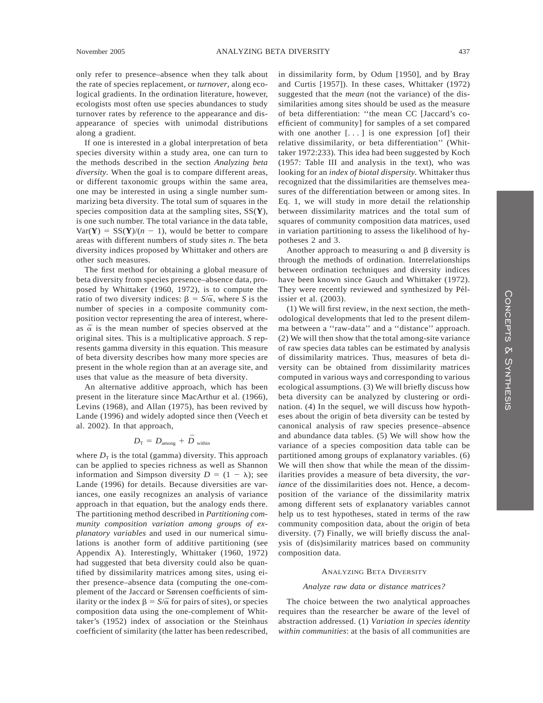only refer to presence–absence when they talk about the rate of species replacement, or *turnover,* along ecological gradients. In the ordination literature, however, ecologists most often use species abundances to study turnover rates by reference to the appearance and disappearance of species with unimodal distributions along a gradient.

If one is interested in a global interpretation of beta species diversity within a study area, one can turn to the methods described in the section *Analyzing beta diversity.* When the goal is to compare different areas, or different taxonomic groups within the same area, one may be interested in using a single number summarizing beta diversity. The total sum of squares in the species composition data at the sampling sites, SS(**Y**), is one such number. The total variance in the data table,  $Var(Y) = SS(Y)/(n - 1)$ , would be better to compare areas with different numbers of study sites *n*. The beta diversity indices proposed by Whittaker and others are other such measures.

The first method for obtaining a global measure of beta diversity from species presence–absence data, proposed by Whittaker (1960, 1972), is to compute the ratio of two diversity indices:  $\beta = S/\bar{\alpha}$ , where S is the number of species in a composite community composition vector representing the area of interest, whereas  $\bar{\alpha}$  is the mean number of species observed at the original sites. This is a multiplicative approach. *S* represents gamma diversity in this equation. This measure of beta diversity describes how many more species are present in the whole region than at an average site, and uses that value as the measure of beta diversity.

An alternative additive approach, which has been present in the literature since MacArthur et al. (1966), Levins (1968), and Allan (1975), has been revived by Lande (1996) and widely adopted since then (Veech et al. 2002). In that approach,

$$
D_{\rm T} = D_{\rm among} \, + \, \bar{D}_{\rm within}
$$

where  $D<sub>T</sub>$  is the total (gamma) diversity. This approach can be applied to species richness as well as Shannon information and Simpson diversity  $D = (1 - \lambda)$ ; see Lande (1996) for details. Because diversities are variances, one easily recognizes an analysis of variance approach in that equation, but the analogy ends there. The partitioning method described in *Partitioning community composition variation among groups of explanatory variables* and used in our numerical simulations is another form of additive partitioning (see Appendix A). Interestingly, Whittaker (1960, 1972) had suggested that beta diversity could also be quantified by dissimilarity matrices among sites, using either presence–absence data (computing the one-complement of the Jaccard or Sørensen coefficients of similarity or the index  $\beta = S/\bar{\alpha}$  for pairs of sites), or species composition data using the one-complement of Whittaker's (1952) index of association or the Steinhaus coefficient of similarity (the latter has been redescribed, in dissimilarity form, by Odum [1950], and by Bray and Curtis [1957]). In these cases, Whittaker (1972) suggested that the *mean* (not the variance) of the dissimilarities among sites should be used as the measure of beta differentiation: ''the mean CC [Jaccard's coefficient of community] for samples of a set compared with one another  $[\dots]$  is one expression [of] their relative dissimilarity, or beta differentiation'' (Whittaker 1972:233). This idea had been suggested by Koch (1957: Table III and analysis in the text), who was looking for an *index of biotal dispersity.* Whittaker thus recognized that the dissimilarities are themselves measures of the differentiation between or among sites. In Eq. 1, we will study in more detail the relationship between dissimilarity matrices and the total sum of squares of community composition data matrices, used in variation partitioning to assess the likelihood of hypotheses 2 and 3.

Another approach to measuring  $\alpha$  and  $\beta$  diversity is through the methods of ordination. Interrelationships between ordination techniques and diversity indices have been known since Gauch and Whittaker (1972). They were recently reviewed and synthesized by Pélissier et al. (2003).

(1) We will first review, in the next section, the methodological developments that led to the present dilemma between a ''raw-data'' and a ''distance'' approach. (2) We will then show that the total among-site variance of raw species data tables can be estimated by analysis of dissimilarity matrices. Thus, measures of beta diversity can be obtained from dissimilarity matrices computed in various ways and corresponding to various ecological assumptions. (3) We will briefly discuss how beta diversity can be analyzed by clustering or ordination. (4) In the sequel, we will discuss how hypotheses about the origin of beta diversity can be tested by canonical analysis of raw species presence–absence and abundance data tables. (5) We will show how the variance of a species composition data table can be partitioned among groups of explanatory variables. (6) We will then show that while the mean of the dissimilarities provides a measure of beta diversity, the *variance* of the dissimilarities does not. Hence, a decomposition of the variance of the dissimilarity matrix among different sets of explanatory variables cannot help us to test hypotheses, stated in terms of the raw community composition data, about the origin of beta diversity. (7) Finally, we will briefly discuss the analysis of (dis)similarity matrices based on community composition data.

#### ANALYZING BETA DIVERSITY

#### *Analyze raw data or distance matrices?*

The choice between the two analytical approaches requires than the researcher be aware of the level of abstraction addressed. (1) *Variation in species identity within communities*: at the basis of all communities are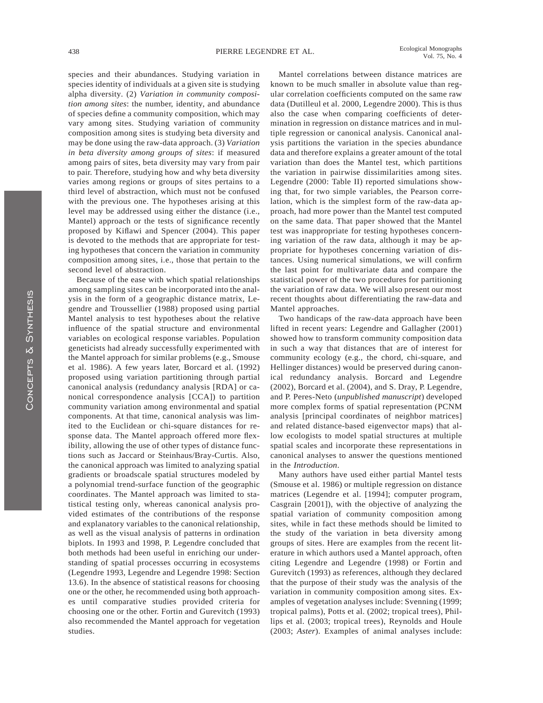species and their abundances. Studying variation in species identity of individuals at a given site is studying alpha diversity. (2) *Variation in community composition among sites*: the number, identity, and abundance of species define a community composition, which may vary among sites. Studying variation of community composition among sites is studying beta diversity and may be done using the raw-data approach. (3) *Variation in beta diversity among groups of sites*: if measured among pairs of sites, beta diversity may vary from pair to pair. Therefore, studying how and why beta diversity varies among regions or groups of sites pertains to a third level of abstraction, which must not be confused with the previous one. The hypotheses arising at this level may be addressed using either the distance (i.e., Mantel) approach or the tests of significance recently proposed by Kiflawi and Spencer (2004). This paper is devoted to the methods that are appropriate for testing hypotheses that concern the variation in community composition among sites, i.e., those that pertain to the second level of abstraction.

Because of the ease with which spatial relationships among sampling sites can be incorporated into the analysis in the form of a geographic distance matrix, Legendre and Troussellier (1988) proposed using partial Mantel analysis to test hypotheses about the relative influence of the spatial structure and environmental variables on ecological response variables. Population geneticists had already successfully experimented with the Mantel approach for similar problems (e.g., Smouse et al. 1986). A few years later, Borcard et al. (1992) proposed using variation partitioning through partial canonical analysis (redundancy analysis [RDA] or canonical correspondence analysis [CCA]) to partition community variation among environmental and spatial components. At that time, canonical analysis was limited to the Euclidean or chi-square distances for response data. The Mantel approach offered more flexibility, allowing the use of other types of distance functions such as Jaccard or Steinhaus/Bray-Curtis. Also, the canonical approach was limited to analyzing spatial gradients or broadscale spatial structures modeled by a polynomial trend-surface function of the geographic coordinates. The Mantel approach was limited to statistical testing only, whereas canonical analysis provided estimates of the contributions of the response and explanatory variables to the canonical relationship, as well as the visual analysis of patterns in ordination biplots. In 1993 and 1998, P. Legendre concluded that both methods had been useful in enriching our understanding of spatial processes occurring in ecosystems (Legendre 1993, Legendre and Legendre 1998: Section 13.6). In the absence of statistical reasons for choosing one or the other, he recommended using both approaches until comparative studies provided criteria for choosing one or the other. Fortin and Gurevitch (1993) also recommended the Mantel approach for vegetation studies.

Mantel correlations between distance matrices are known to be much smaller in absolute value than regular correlation coefficients computed on the same raw data (Dutilleul et al. 2000, Legendre 2000). This is thus also the case when comparing coefficients of determination in regression on distance matrices and in multiple regression or canonical analysis. Canonical analysis partitions the variation in the species abundance data and therefore explains a greater amount of the total variation than does the Mantel test, which partitions the variation in pairwise dissimilarities among sites. Legendre (2000: Table II) reported simulations showing that, for two simple variables, the Pearson correlation, which is the simplest form of the raw-data approach, had more power than the Mantel test computed on the same data. That paper showed that the Mantel test was inappropriate for testing hypotheses concerning variation of the raw data, although it may be appropriate for hypotheses concerning variation of distances. Using numerical simulations, we will confirm the last point for multivariate data and compare the statistical power of the two procedures for partitioning the variation of raw data. We will also present our most recent thoughts about differentiating the raw-data and Mantel approaches.

Two handicaps of the raw-data approach have been lifted in recent years: Legendre and Gallagher (2001) showed how to transform community composition data in such a way that distances that are of interest for community ecology (e.g., the chord, chi-square, and Hellinger distances) would be preserved during canonical redundancy analysis. Borcard and Legendre (2002), Borcard et al. (2004), and S. Dray, P. Legendre, and P. Peres-Neto (*unpublished manuscript*) developed more complex forms of spatial representation (PCNM analysis [principal coordinates of neighbor matrices] and related distance-based eigenvector maps) that allow ecologists to model spatial structures at multiple spatial scales and incorporate these representations in canonical analyses to answer the questions mentioned in the *Introduction*.

Many authors have used either partial Mantel tests (Smouse et al. 1986) or multiple regression on distance matrices (Legendre et al. [1994]; computer program, Casgrain [2001]), with the objective of analyzing the spatial variation of community composition among sites, while in fact these methods should be limited to the study of the variation in beta diversity among groups of sites. Here are examples from the recent literature in which authors used a Mantel approach, often citing Legendre and Legendre (1998) or Fortin and Gurevitch (1993) as references, although they declared that the purpose of their study was the analysis of the variation in community composition among sites. Examples of vegetation analyses include: Svenning (1999; tropical palms), Potts et al. (2002; tropical trees), Phillips et al. (2003; tropical trees), Reynolds and Houle (2003; *Aster*). Examples of animal analyses include: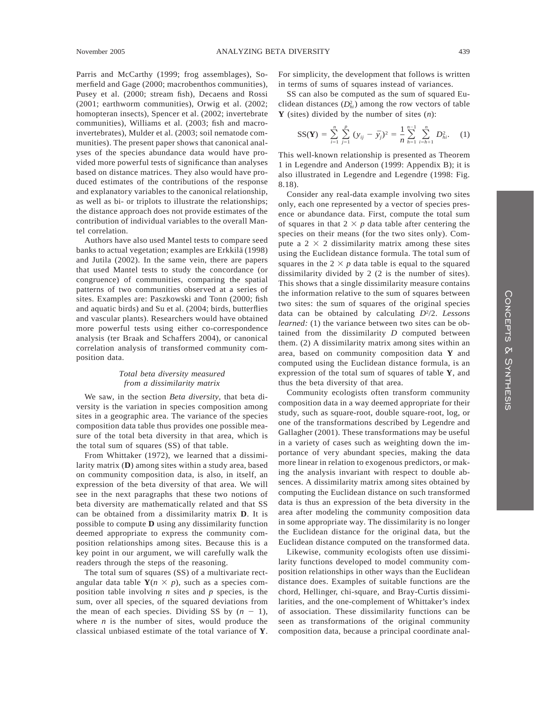Parris and McCarthy (1999; frog assemblages), Somerfield and Gage (2000; macrobenthos communities), Pusey et al. (2000; stream fish), Decaens and Rossi (2001; earthworm communities), Orwig et al. (2002; homopteran insects), Spencer et al. (2002; invertebrate communities), Williams et al. (2003; fish and macroinvertebrates), Mulder et al. (2003; soil nematode communities). The present paper shows that canonical analyses of the species abundance data would have provided more powerful tests of significance than analyses based on distance matrices. They also would have produced estimates of the contributions of the response and explanatory variables to the canonical relationship, as well as bi- or triplots to illustrate the relationships; the distance approach does not provide estimates of the contribution of individual variables to the overall Mantel correlation.

Authors have also used Mantel tests to compare seed banks to actual vegetation; examples are Erkkilä (1998) and Jutila (2002). In the same vein, there are papers that used Mantel tests to study the concordance (or congruence) of communities, comparing the spatial patterns of two communities observed at a series of sites. Examples are: Paszkowski and Tonn (2000; fish and aquatic birds) and Su et al. (2004; birds, butterflies and vascular plants). Researchers would have obtained more powerful tests using either co-correspondence analysis (ter Braak and Schaffers 2004), or canonical correlation analysis of transformed community composition data.

## *Total beta diversity measured from a dissimilarity matrix*

We saw, in the section *Beta diversity*, that beta diversity is the variation in species composition among sites in a geographic area. The variance of the species composition data table thus provides one possible measure of the total beta diversity in that area, which is the total sum of squares (SS) of that table.

From Whittaker (1972), we learned that a dissimilarity matrix (**D**) among sites within a study area, based on community composition data, is also, in itself, an expression of the beta diversity of that area. We will see in the next paragraphs that these two notions of beta diversity are mathematically related and that SS can be obtained from a dissimilarity matrix **D**. It is possible to compute **D** using any dissimilarity function deemed appropriate to express the community composition relationships among sites. Because this is a key point in our argument, we will carefully walk the readers through the steps of the reasoning.

The total sum of squares (SS) of a multivariate rectangular data table  $Y(n \times p)$ , such as a species composition table involving *n* sites and *p* species, is the sum, over all species, of the squared deviations from the mean of each species. Dividing SS by  $(n - 1)$ , where  $n$  is the number of sites, would produce the classical unbiased estimate of the total variance of **Y**. For simplicity, the development that follows is written in terms of sums of squares instead of variances.

SS can also be computed as the sum of squared Euclidean distances  $(D_{hi}^2)$  among the row vectors of table **Y** (sites) divided by the number of sites (*n*):

$$
SS(\mathbf{Y}) = \sum_{i=1}^{n} \sum_{j=1}^{p} (y_{ij} - \bar{y}_j)^2 = \frac{1}{n} \sum_{h=1}^{n-1} \sum_{i=h+1}^{n} D_{hi}^2.
$$
 (1)

This well-known relationship is presented as Theorem 1 in Legendre and Anderson (1999: Appendix B); it is also illustrated in Legendre and Legendre (1998: Fig. 8.18).

Consider any real-data example involving two sites only, each one represented by a vector of species presence or abundance data. First, compute the total sum of squares in that  $2 \times p$  data table after centering the species on their means (for the two sites only). Compute a  $2 \times 2$  dissimilarity matrix among these sites using the Euclidean distance formula. The total sum of squares in the  $2 \times p$  data table is equal to the squared dissimilarity divided by 2 (2 is the number of sites). This shows that a single dissimilarity measure contains the information relative to the sum of squares between two sites: the sum of squares of the original species data can be obtained by calculating *D*<sup>2</sup> /2. *Lessons learned:* (1) the variance between two sites can be obtained from the dissimilarity *D* computed between them. (2) A dissimilarity matrix among sites within an area, based on community composition data **Y** and computed using the Euclidean distance formula, is an expression of the total sum of squares of table **Y**, and thus the beta diversity of that area.

Community ecologists often transform community composition data in a way deemed appropriate for their study, such as square-root, double square-root, log, or one of the transformations described by Legendre and Gallagher (2001). These transformations may be useful in a variety of cases such as weighting down the importance of very abundant species, making the data more linear in relation to exogenous predictors, or making the analysis invariant with respect to double absences. A dissimilarity matrix among sites obtained by computing the Euclidean distance on such transformed data is thus an expression of the beta diversity in the area after modeling the community composition data in some appropriate way. The dissimilarity is no longer the Euclidean distance for the original data, but the Euclidean distance computed on the transformed data.

Likewise, community ecologists often use dissimilarity functions developed to model community composition relationships in other ways than the Euclidean distance does. Examples of suitable functions are the chord, Hellinger, chi-square, and Bray-Curtis dissimilarities, and the one-complement of Whittaker's index of association. These dissimilarity functions can be seen as transformations of the original community composition data, because a principal coordinate anal-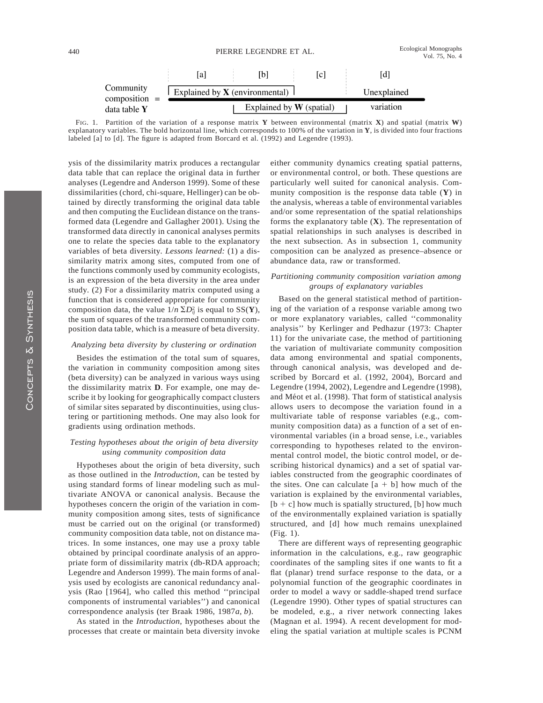

FIG. 1. Partition of the variation of a response matrix **Y** between environmental (matrix **X**) and spatial (matrix **W**) explanatory variables. The bold horizontal line, which corresponds to 100% of the variation in **Y**, is divided into four fractions labeled [a] to [d]. The figure is adapted from Borcard et al. (1992) and Legendre (1993).

ysis of the dissimilarity matrix produces a rectangular data table that can replace the original data in further analyses (Legendre and Anderson 1999). Some of these dissimilarities (chord, chi-square, Hellinger) can be obtained by directly transforming the original data table and then computing the Euclidean distance on the transformed data (Legendre and Gallagher 2001). Using the transformed data directly in canonical analyses permits one to relate the species data table to the explanatory variables of beta diversity. *Lessons learned:* (1) a dissimilarity matrix among sites, computed from one of the functions commonly used by community ecologists, is an expression of the beta diversity in the area under study. (2) For a dissimilarity matrix computed using a function that is considered appropriate for community composition data, the value  $1/n \Sigma D_{ij}^2$  is equal to SS(**Y**), the sum of squares of the transformed community composition data table, which is a measure of beta diversity.

#### *Analyzing beta diversity by clustering or ordination*

Besides the estimation of the total sum of squares, the variation in community composition among sites (beta diversity) can be analyzed in various ways using the dissimilarity matrix **D**. For example, one may describe it by looking for geographically compact clusters of similar sites separated by discontinuities, using clustering or partitioning methods. One may also look for gradients using ordination methods.

## *Testing hypotheses about the origin of beta diversity using community composition data*

Hypotheses about the origin of beta diversity, such as those outlined in the *Introduction*, can be tested by using standard forms of linear modeling such as multivariate ANOVA or canonical analysis. Because the hypotheses concern the origin of the variation in community composition among sites, tests of significance must be carried out on the original (or transformed) community composition data table, not on distance matrices. In some instances, one may use a proxy table obtained by principal coordinate analysis of an appropriate form of dissimilarity matrix (db-RDA approach; Legendre and Anderson 1999). The main forms of analysis used by ecologists are canonical redundancy analysis (Rao [1964], who called this method ''principal components of instrumental variables'') and canonical correspondence analysis (ter Braak 1986, 1987*a*, *b*).

As stated in the *Introduction*, hypotheses about the processes that create or maintain beta diversity invoke either community dynamics creating spatial patterns, or environmental control, or both. These questions are particularly well suited for canonical analysis. Community composition is the response data table (**Y**) in the analysis, whereas a table of environmental variables and/or some representation of the spatial relationships forms the explanatory table (**X**). The representation of spatial relationships in such analyses is described in the next subsection. As in subsection 1, community composition can be analyzed as presence–absence or abundance data, raw or transformed.

## *Partitioning community composition variation among groups of explanatory variables*

Based on the general statistical method of partitioning of the variation of a response variable among two or more explanatory variables, called ''commonality analysis'' by Kerlinger and Pedhazur (1973: Chapter 11) for the univariate case, the method of partitioning the variation of multivariate community composition data among environmental and spatial components, through canonical analysis, was developed and described by Borcard et al. (1992, 2004), Borcard and Legendre (1994, 2002), Legendre and Legendre (1998), and Méot et al. (1998). That form of statistical analysis allows users to decompose the variation found in a multivariate table of response variables (e.g., community composition data) as a function of a set of environmental variables (in a broad sense, i.e., variables corresponding to hypotheses related to the environmental control model, the biotic control model, or describing historical dynamics) and a set of spatial variables constructed from the geographic coordinates of the sites. One can calculate  $[a + b]$  how much of the variation is explained by the environmental variables,  $[b + c]$  how much is spatially structured,  $[b]$  how much of the environmentally explained variation is spatially structured, and [d] how much remains unexplained (Fig. 1).

There are different ways of representing geographic information in the calculations, e.g., raw geographic coordinates of the sampling sites if one wants to fit a flat (planar) trend surface response to the data, or a polynomial function of the geographic coordinates in order to model a wavy or saddle-shaped trend surface (Legendre 1990). Other types of spatial structures can be modeled, e.g., a river network connecting lakes (Magnan et al. 1994). A recent development for modeling the spatial variation at multiple scales is PCNM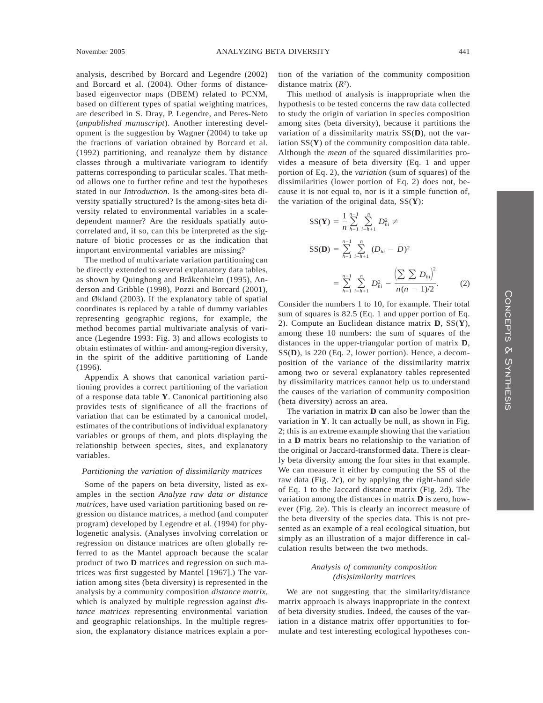analysis, described by Borcard and Legendre (2002) and Borcard et al. (2004). Other forms of distancebased eigenvector maps (DBEM) related to PCNM, based on different types of spatial weighting matrices, are described in S. Dray, P. Legendre, and Peres-Neto (*unpublished manuscript*). Another interesting development is the suggestion by Wagner (2004) to take up the fractions of variation obtained by Borcard et al. (1992) partitioning, and reanalyze them by distance classes through a multivariate variogram to identify patterns corresponding to particular scales. That method allows one to further refine and test the hypotheses stated in our *Introduction*. Is the among-sites beta diversity spatially structured? Is the among-sites beta diversity related to environmental variables in a scaledependent manner? Are the residuals spatially autocorrelated and, if so, can this be interpreted as the signature of biotic processes or as the indication that important environmental variables are missing?

The method of multivariate variation partitioning can be directly extended to several explanatory data tables, as shown by Quinghong and Bråkenhielm (1995), Anderson and Gribble (1998), Pozzi and Borcard (2001), and Økland (2003). If the explanatory table of spatial coordinates is replaced by a table of dummy variables representing geographic regions, for example, the method becomes partial multivariate analysis of variance (Legendre 1993: Fig. 3) and allows ecologists to obtain estimates of within- and among-region diversity, in the spirit of the additive partitioning of Lande (1996).

Appendix A shows that canonical variation partitioning provides a correct partitioning of the variation of a response data table **Y**. Canonical partitioning also provides tests of significance of all the fractions of variation that can be estimated by a canonical model, estimates of the contributions of individual explanatory variables or groups of them, and plots displaying the relationship between species, sites, and explanatory variables.

## *Partitioning the variation of dissimilarity matrices*

Some of the papers on beta diversity, listed as examples in the section *Analyze raw data or distance matrices,* have used variation partitioning based on regression on distance matrices, a method (and computer program) developed by Legendre et al. (1994) for phylogenetic analysis. (Analyses involving correlation or regression on distance matrices are often globally referred to as the Mantel approach because the scalar product of two **D** matrices and regression on such matrices was first suggested by Mantel [1967].) The variation among sites (beta diversity) is represented in the analysis by a community composition *distance matrix,* which is analyzed by multiple regression against *distance matrices* representing environmental variation and geographic relationships. In the multiple regression, the explanatory distance matrices explain a portion of the variation of the community composition distance matrix (*R*<sup>2</sup> ).

This method of analysis is inappropriate when the hypothesis to be tested concerns the raw data collected to study the origin of variation in species composition among sites (beta diversity), because it partitions the variation of a dissimilarity matrix SS(**D**), not the variation SS(**Y**) of the community composition data table. Although the *mean* of the squared dissimilarities provides a measure of beta diversity (Eq. 1 and upper portion of Eq. 2), the *variation* (sum of squares) of the dissimilarities (lower portion of Eq. 2) does not, because it is not equal to, nor is it a simple function of, the variation of the original data, SS(**Y**):

$$
SS(Y) = \frac{1}{n} \sum_{h=1}^{n-1} \sum_{i=h+1}^{n} D_{hi}^2 \neq
$$
  
\n
$$
SS(D) = \sum_{h=1}^{n-1} \sum_{i=h+1}^{n} (D_{hi} - \bar{D})^2
$$
  
\n
$$
= \sum_{h=1}^{n-1} \sum_{i=h+1}^{n} D_{hi}^2 - \frac{\left(\sum \sum D_{hi}\right)^2}{n(n-1)/2}.
$$
 (2)

Consider the numbers 1 to 10, for example. Their total sum of squares is 82.5 (Eq. 1 and upper portion of Eq. 2). Compute an Euclidean distance matrix **D**, SS(**Y**), among these 10 numbers: the sum of squares of the distances in the upper-triangular portion of matrix **D**, SS(D), is 220 (Eq. 2, lower portion). Hence, a decomposition of the variance of the dissimilarity matrix among two or several explanatory tables represented by dissimilarity matrices cannot help us to understand the causes of the variation of community composition (beta diversity) across an area.

The variation in matrix **D** can also be lower than the variation in **Y**. It can actually be null, as shown in Fig. 2; this is an extreme example showing that the variation in a **D** matrix bears no relationship to the variation of the original or Jaccard-transformed data. There is clearly beta diversity among the four sites in that example. We can measure it either by computing the SS of the raw data (Fig. 2c), or by applying the right-hand side of Eq. 1 to the Jaccard distance matrix (Fig. 2d). The variation among the distances in matrix **D** is zero, however (Fig. 2e). This is clearly an incorrect measure of the beta diversity of the species data. This is not presented as an example of a real ecological situation, but simply as an illustration of a major difference in calculation results between the two methods.

## *Analysis of community composition (dis)similarity matrices*

We are not suggesting that the similarity/distance matrix approach is always inappropriate in the context of beta diversity studies. Indeed, the causes of the variation in a distance matrix offer opportunities to formulate and test interesting ecological hypotheses con-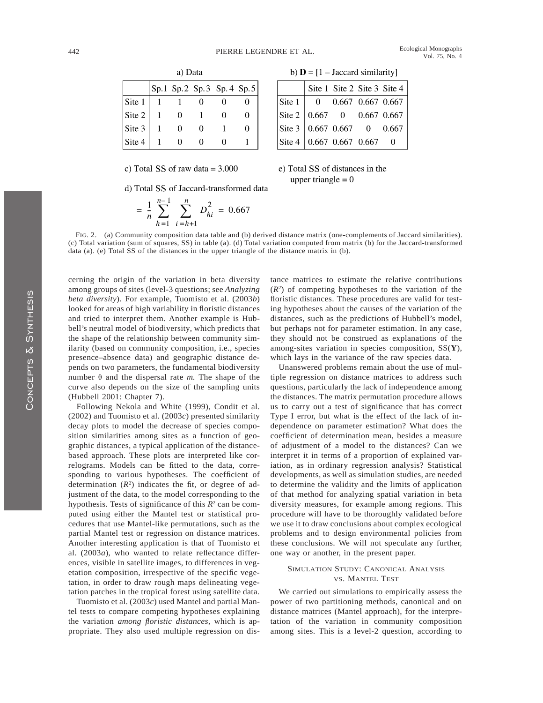a) Data

|        |  | Sp.1 Sp.2 Sp.3 Sp.4 Sp.5 |  |
|--------|--|--------------------------|--|
| Site 1 |  |                          |  |
| Site 2 |  |                          |  |
| Site 3 |  |                          |  |
| Site 4 |  |                          |  |

#### c) Total SS of raw data  $= 3.000$

d) Total SS of Jaccard-transformed data

$$
= \frac{1}{n} \sum_{h=1}^{n-1} \sum_{i=h+1}^{n} D_{hi}^{2} = 0.667
$$

b)  $D = [1 - Jaccard similarity]$ 

|                                                |  | Site 1 Site 2 Site 3 Site 4       |
|------------------------------------------------|--|-----------------------------------|
|                                                |  | Site $1 \mid 0$ 0.667 0.667 0.667 |
| Site 2   0.667 0 0.667 0.667                   |  |                                   |
| Site 3 $\Big  0.667 \, 0.667 \, 0 \Big  0.667$ |  |                                   |
| Site 4 0.667 0.667 0.667 0                     |  |                                   |

## e) Total SS of distances in the upper triangle  $= 0$

$$
= \frac{1}{n} \sum_{h=1}^{n-1} \sum_{i=h+1}^{n} D_{hi}^{2} = 0.667
$$

Concepts & Synthesis

CONCEPTS & SYNTHESIS

FIG. 2. (a) Community composition data table and (b) derived distance matrix (one-complements of Jaccard similarities). (c) Total variation (sum of squares, SS) in table (a). (d) Total variation computed from matrix (b) for the Jaccard-transformed data (a). (e) Total SS of the distances in the upper triangle of the distance matrix in (b).

cerning the origin of the variation in beta diversity among groups of sites (level-3 questions; see *Analyzing beta diversity*). For example, Tuomisto et al. (2003*b*) looked for areas of high variability in floristic distances and tried to interpret them. Another example is Hubbell's neutral model of biodiversity, which predicts that the shape of the relationship between community similarity (based on community composition, i.e., species presence–absence data) and geographic distance depends on two parameters, the fundamental biodiversity number  $\theta$  and the dispersal rate *m*. The shape of the curve also depends on the size of the sampling units (Hubbell 2001: Chapter 7).

Following Nekola and White (1999), Condit et al. (2002) and Tuomisto et al. (2003*c*) presented similarity decay plots to model the decrease of species composition similarities among sites as a function of geographic distances, a typical application of the distancebased approach. These plots are interpreted like correlograms. Models can be fitted to the data, corresponding to various hypotheses. The coefficient of determination  $(R^2)$  indicates the fit, or degree of adjustment of the data, to the model corresponding to the hypothesis. Tests of significance of this  $R^2$  can be computed using either the Mantel test or statistical procedures that use Mantel-like permutations, such as the partial Mantel test or regression on distance matrices. Another interesting application is that of Tuomisto et al. (2003*a*), who wanted to relate reflectance differences, visible in satellite images, to differences in vegetation composition, irrespective of the specific vegetation, in order to draw rough maps delineating vegetation patches in the tropical forest using satellite data.

Tuomisto et al. (2003*c*) used Mantel and partial Mantel tests to compare competing hypotheses explaining the variation *among floristic distances,* which is appropriate. They also used multiple regression on distance matrices to estimate the relative contributions (*R*<sup>2</sup> ) of competing hypotheses to the variation of the floristic distances. These procedures are valid for testing hypotheses about the causes of the variation of the distances, such as the predictions of Hubbell's model, but perhaps not for parameter estimation. In any case, they should not be construed as explanations of the among-sites variation in species composition, SS(**Y**), which lays in the variance of the raw species data.

Unanswered problems remain about the use of multiple regression on distance matrices to address such questions, particularly the lack of independence among the distances. The matrix permutation procedure allows us to carry out a test of significance that has correct Type I error, but what is the effect of the lack of independence on parameter estimation? What does the coefficient of determination mean, besides a measure of adjustment of a model to the distances? Can we interpret it in terms of a proportion of explained variation, as in ordinary regression analysis? Statistical developments, as well as simulation studies, are needed to determine the validity and the limits of application of that method for analyzing spatial variation in beta diversity measures, for example among regions. This procedure will have to be thoroughly validated before we use it to draw conclusions about complex ecological problems and to design environmental policies from these conclusions. We will not speculate any further, one way or another, in the present paper.

## SIMULATION STUDY: CANONICAL ANALYSIS VS. MANTEL TEST

We carried out simulations to empirically assess the power of two partitioning methods, canonical and on distance matrices (Mantel approach), for the interpretation of the variation in community composition among sites. This is a level-2 question, according to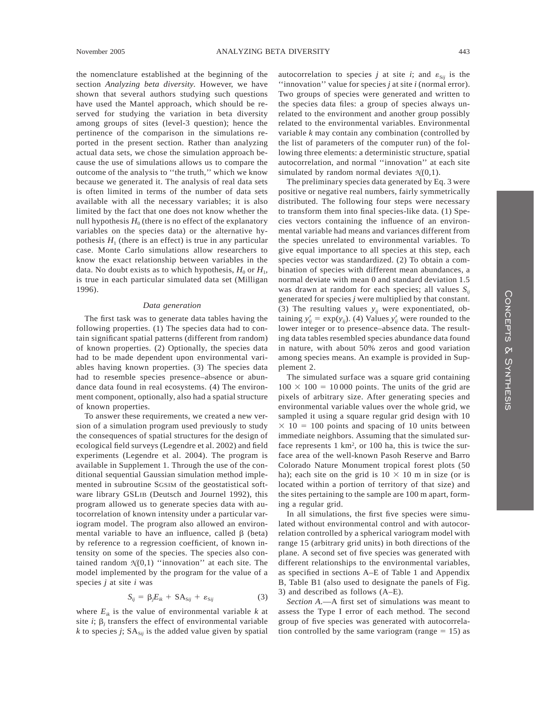the nomenclature established at the beginning of the section *Analyzing beta diversity.* However, we have shown that several authors studying such questions have used the Mantel approach, which should be reserved for studying the variation in beta diversity among groups of sites (level-3 question); hence the pertinence of the comparison in the simulations reported in the present section. Rather than analyzing actual data sets, we chose the simulation approach because the use of simulations allows us to compare the outcome of the analysis to ''the truth,'' which we know because we generated it. The analysis of real data sets is often limited in terms of the number of data sets available with all the necessary variables; it is also limited by the fact that one does not know whether the null hypothesis  $H_0$  (there is no effect of the explanatory variables on the species data) or the alternative hypothesis  $H_1$  (there is an effect) is true in any particular case. Monte Carlo simulations allow researchers to know the exact relationship between variables in the data. No doubt exists as to which hypothesis,  $H_0$  or  $H_1$ , is true in each particular simulated data set (Milligan 1996).

#### *Data generation*

The first task was to generate data tables having the following properties. (1) The species data had to contain significant spatial patterns (different from random) of known properties. (2) Optionally, the species data had to be made dependent upon environmental variables having known properties. (3) The species data had to resemble species presence–absence or abundance data found in real ecosystems. (4) The environment component, optionally, also had a spatial structure of known properties.

To answer these requirements, we created a new version of a simulation program used previously to study the consequences of spatial structures for the design of ecological field surveys (Legendre et al. 2002) and field experiments (Legendre et al. 2004). The program is available in Supplement 1. Through the use of the conditional sequential Gaussian simulation method implemented in subroutine SGSIM of the geostatistical software library GSLIB (Deutsch and Journel 1992), this program allowed us to generate species data with autocorrelation of known intensity under a particular variogram model. The program also allowed an environmental variable to have an influence, called  $\beta$  (beta) by reference to a regression coefficient, of known intensity on some of the species. The species also contained random  $\mathcal{N}(0,1)$  "innovation" at each site. The model implemented by the program for the value of a species *j* at site *i* was

$$
S_{ij} = \beta_j E_{ik} + SA_{Sij} + \varepsilon_{Sij}
$$
 (3)

where  $E_{ik}$  is the value of environmental variable *k* at site  $i$ ;  $\beta$ <sub>*i*</sub> transfers the effect of environmental variable  $k$  to species *j*;  $SA_{Si}$  is the added value given by spatial autocorrelation to species *j* at site *i*; and  $\varepsilon_{\text{S}ij}$  is the ''innovation'' value for species *j* at site *i* (normal error). Two groups of species were generated and written to the species data files: a group of species always unrelated to the environment and another group possibly related to the environmental variables. Environmental variable *k* may contain any combination (controlled by the list of parameters of the computer run) of the following three elements: a deterministic structure, spatial autocorrelation, and normal ''innovation'' at each site simulated by random normal deviates  $\mathcal{N}(0,1)$ .

The preliminary species data generated by Eq. 3 were positive or negative real numbers, fairly symmetrically distributed. The following four steps were necessary to transform them into final species-like data. (1) Species vectors containing the influence of an environmental variable had means and variances different from the species unrelated to environmental variables. To give equal importance to all species at this step, each species vector was standardized. (2) To obtain a combination of species with different mean abundances, a normal deviate with mean 0 and standard deviation 1.5 was drawn at random for each species; all values  $S_{ii}$ generated for species *j* were multiplied by that constant. (3) The resulting values  $y_{ii}$  were exponentiated, obtaining  $y'_{ij} = \exp(y_{ij})$ . (4) Values  $y'_{ij}$  were rounded to the lower integer or to presence–absence data. The resulting data tables resembled species abundance data found in nature, with about 50% zeros and good variation among species means. An example is provided in Supplement 2.

The simulated surface was a square grid containing  $100 \times 100 = 10000$  points. The units of the grid are pixels of arbitrary size. After generating species and environmental variable values over the whole grid, we sampled it using a square regular grid design with 10  $\times$  10 = 100 points and spacing of 10 units between immediate neighbors. Assuming that the simulated surface represents 1 km<sup>2</sup>, or 100 ha, this is twice the surface area of the well-known Pasoh Reserve and Barro Colorado Nature Monument tropical forest plots (50 ha); each site on the grid is  $10 \times 10$  m in size (or is located within a portion of territory of that size) and the sites pertaining to the sample are 100 m apart, forming a regular grid.

In all simulations, the first five species were simulated without environmental control and with autocorrelation controlled by a spherical variogram model with range 15 (arbitrary grid units) in both directions of the plane. A second set of five species was generated with different relationships to the environmental variables, as specified in sections A–E of Table 1 and Appendix B, Table B1 (also used to designate the panels of Fig. 3) and described as follows (A–E).

*Section A*.—A first set of simulations was meant to assess the Type I error of each method. The second group of five species was generated with autocorrelation controlled by the same variogram (range  $= 15$ ) as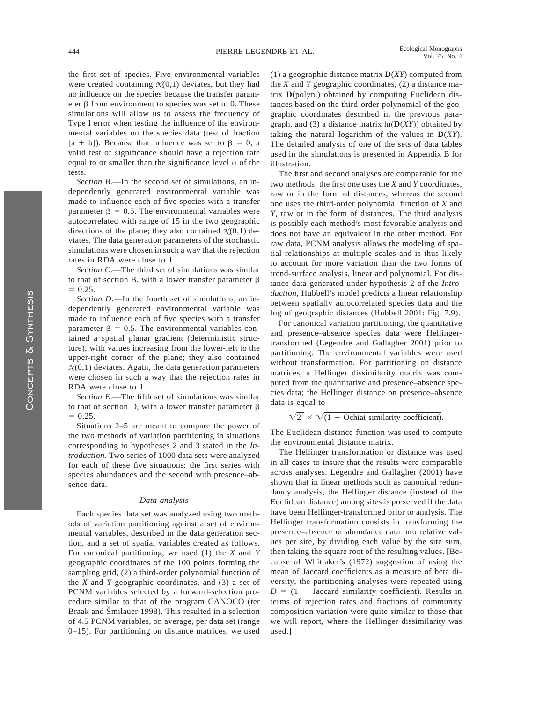the first set of species. Five environmental variables were created containing  $\mathcal{N}(0,1)$  deviates, but they had no influence on the species because the transfer parameter  $\beta$  from environment to species was set to 0. These simulations will allow us to assess the frequency of Type I error when testing the influence of the environmental variables on the species data (test of fraction [a + b]). Because that influence was set to  $\beta = 0$ , a valid test of significance should have a rejection rate equal to or smaller than the significance level  $\alpha$  of the tests.

*Section B*.—In the second set of simulations, an independently generated environmental variable was made to influence each of five species with a transfer parameter  $\beta = 0.5$ . The environmental variables were autocorrelated with range of 15 in the two geographic directions of the plane; they also contained  $\mathcal{N}(0,1)$  deviates. The data generation parameters of the stochastic simulations were chosen in such a way that the rejection rates in RDA were close to 1.

*Section C*.—The third set of simulations was similar to that of section B, with a lower transfer parameter  $\beta$  $= 0.25.$ 

*Section D*.—In the fourth set of simulations, an independently generated environmental variable was made to influence each of five species with a transfer parameter  $\beta = 0.5$ . The environmental variables contained a spatial planar gradient (deterministic structure), with values increasing from the lower-left to the upper-right corner of the plane; they also contained  $N(0,1)$  deviates. Again, the data generation parameters were chosen in such a way that the rejection rates in RDA were close to 1.

*Section E*.—The fifth set of simulations was similar to that of section D, with a lower transfer parameter  $\beta$  $= 0.25.$ 

Situations 2–5 are meant to compare the power of the two methods of variation partitioning in situations corresponding to hypotheses 2 and 3 stated in the *Introduction*. Two series of 1000 data sets were analyzed for each of these five situations: the first series with species abundances and the second with presence–absence data.

#### *Data analysis*

Each species data set was analyzed using two methods of variation partitioning against a set of environmental variables, described in the data generation section, and a set of spatial variables created as follows. For canonical partitioning, we used (1) the *X* and *Y* geographic coordinates of the 100 points forming the sampling grid, (2) a third-order polynomial function of the *X* and *Y* geographic coordinates, and (3) a set of PCNM variables selected by a forward-selection procedure similar to that of the program CANOCO (ter Braak and Šmilauer 1998). This resulted in a selection of 4.5 PCNM variables, on average, per data set (range 0–15). For partitioning on distance matrices, we used

(1) a geographic distance matrix **D**(*XY*) computed from the *X* and *Y* geographic coordinates, (2) a distance matrix **D**(polyn.) obtained by computing Euclidean distances based on the third-order polynomial of the geographic coordinates described in the previous paragraph, and (3) a distance matrix ln(**D**(*XY*)) obtained by taking the natural logarithm of the values in **D**(*XY*). The detailed analysis of one of the sets of data tables used in the simulations is presented in Appendix B for illustration.

The first and second analyses are comparable for the two methods: the first one uses the *X* and *Y* coordinates, raw or in the form of distances, whereas the second one uses the third-order polynomial function of *X* and *Y,* raw or in the form of distances. The third analysis is possibly each method's most favorable analysis and does not have an equivalent in the other method. For raw data, PCNM analysis allows the modeling of spatial relationships at multiple scales and is thus likely to account for more variation than the two forms of trend-surface analysis, linear and polynomial. For distance data generated under hypothesis 2 of the *Introduction*, Hubbell's model predicts a linear relationship between spatially autocorrelated species data and the log of geographic distances (Hubbell 2001: Fig. 7.9).

For canonical variation partitioning, the quantitative and presence–absence species data were Hellingertransformed (Legendre and Gallagher 2001) prior to partitioning. The environmental variables were used without transformation. For partitioning on distance matrices, a Hellinger dissimilarity matrix was computed from the quantitative and presence–absence species data; the Hellinger distance on presence–absence data is equal to

$$
\sqrt{2}
$$
 ×  $\sqrt{(1 - \text{Ochiai similarity coefficient})}$ .

The Euclidean distance function was used to compute the environmental distance matrix.

The Hellinger transformation or distance was used in all cases to insure that the results were comparable across analyses. Legendre and Gallagher (2001) have shown that in linear methods such as canonical redundancy analysis, the Hellinger distance (instead of the Euclidean distance) among sites is preserved if the data have been Hellinger-transformed prior to analysis. The Hellinger transformation consists in transforming the presence–absence or abundance data into relative values per site, by dividing each value by the site sum, then taking the square root of the resulting values. [Because of Whittaker's (1972) suggestion of using the mean of Jaccard coefficients as a measure of beta diversity, the partitioning analyses were repeated using  $D = (1 -$  Jaccard similarity coefficient). Results in terms of rejection rates and fractions of community composition variation were quite similar to those that we will report, where the Hellinger dissimilarity was used.]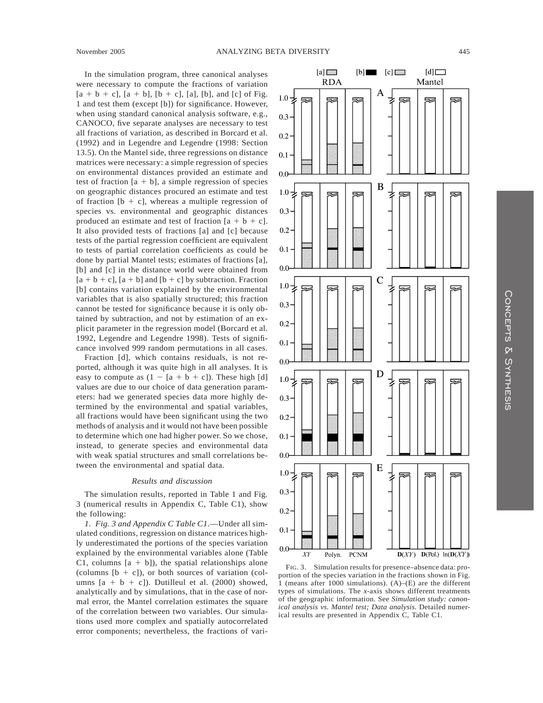In the simulation program, three canonical analyses were necessary to compute the fractions of variation  $[a + b + c]$ ,  $[a + b]$ ,  $[b + c]$ ,  $[a]$ ,  $[b]$ , and  $[c]$  of Fig. 1 and test them (except [b]) for significance. However, when using standard canonical analysis software, e.g., CANOCO, five separate analyses are necessary to test all fractions of variation, as described in Borcard et al. (1992) and in Legendre and Legendre (1998: Section 13.5). On the Mantel side, three regressions on distance matrices were necessary: a simple regression of species on environmental distances provided an estimate and test of fraction  $[a + b]$ , a simple regression of species on geographic distances procured an estimate and test of fraction  $[b + c]$ , whereas a multiple regression of species vs. environmental and geographic distances produced an estimate and test of fraction  $[a + b + c]$ . It also provided tests of fractions [a] and [c] because tests of the partial regression coefficient are equivalent to tests of partial correlation coefficients as could be done by partial Mantel tests; estimates of fractions [a], [b] and [c] in the distance world were obtained from  $[a + b + c]$ ,  $[a + b]$  and  $[b + c]$  by subtraction. Fraction [b] contains variation explained by the environmental variables that is also spatially structured; this fraction cannot be tested for significance because it is only obtained by subtraction, and not by estimation of an explicit parameter in the regression model (Borcard et al. 1992, Legendre and Legendre 1998). Tests of significance involved 999 random permutations in all cases.

Fraction [d], which contains residuals, is not reported, although it was quite high in all analyses. It is easy to compute as  $(1 - [a + b + c])$ . These high [d] values are due to our choice of data generation parameters: had we generated species data more highly determined by the environmental and spatial variables, all fractions would have been significant using the two methods of analysis and it would not have been possible to determine which one had higher power. So we chose, instead, to generate species and environmental data with weak spatial structures and small correlations between the environmental and spatial data.

#### *Results and discussion*

The simulation results, reported in Table 1 and Fig. 3 (numerical results in Appendix C, Table C1), show the following:

*1. Fig. 3 and Appendix C Table C1*.—Under all simulated conditions, regression on distance matrices highly underestimated the portions of the species variation explained by the environmental variables alone (Table C1, columns  $[a + b]$ , the spatial relationships alone (columns  $[b + c]$ ), or both sources of variation (columns  $[a + b + c]$ ). Dutilleul et al. (2000) showed, analytically and by simulations, that in the case of normal error, the Mantel correlation estimates the square of the correlation between two variables. Our simulations used more complex and spatially autocorrelated error components; nevertheless, the fractions of vari-



FIG. 3. Simulation results for presence–absence data: proportion of the species variation in the fractions shown in Fig. 1 (means after 1000 simulations). (A)–(E) are the different types of simulations. The *x*-axis shows different treatments of the geographic information. See *Simulation study: canonical analysis vs. Mantel test; Data analysis.* Detailed numerical results are presented in Appendix C, Table C1.

 $D(XY)$ 

 $D(Pol.)$   $ln(D(XY))$ 

 $X$ 

Polyn.

**PCNM**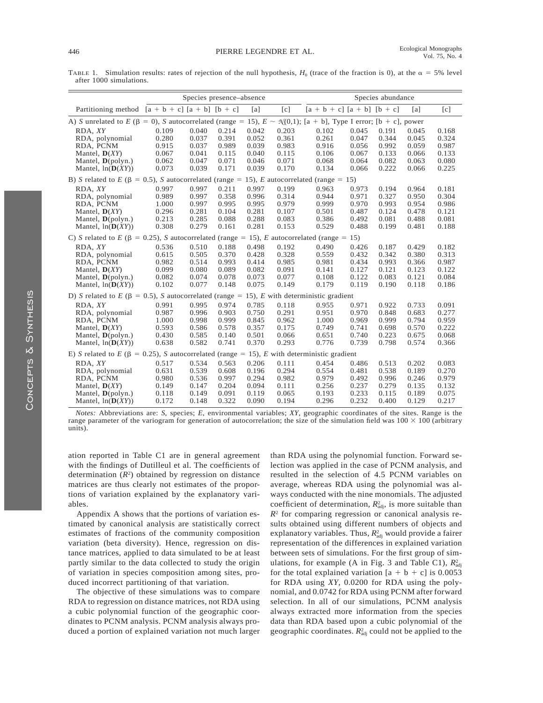TABLE 1. Simulation results: rates of rejection of the null hypothesis,  $H_0$  (trace of the fraction is 0), at the  $\alpha = 5\%$  level after 1000 simulations.

|                                                                                                                                       |       |       | Species abundance |       |       |                               |       |       |       |       |
|---------------------------------------------------------------------------------------------------------------------------------------|-------|-------|-------------------|-------|-------|-------------------------------|-------|-------|-------|-------|
| Partitioning method $[a + b + c] [a + b] [b + c]$                                                                                     |       |       |                   | [a]   | [c]   | $[a + b + c] [a + b] [b + c]$ |       |       | [a]   | [c]   |
| A) S unrelated to E ( $\beta = 0$ ), S autocorrelated (range = 15), $E \sim \mathcal{N}(0,1)$ ; [a + b], Type I error; [b + c], power |       |       |                   |       |       |                               |       |       |       |       |
| RDA. XY                                                                                                                               | 0.109 | 0.040 | 0.214             | 0.042 | 0.203 | 0.102                         | 0.045 | 0.191 | 0.045 | 0.168 |
| RDA, polynomial                                                                                                                       | 0.280 | 0.037 | 0.391             | 0.052 | 0.361 | 0.261                         | 0.047 | 0.344 | 0.045 | 0.324 |
| RDA, PCNM                                                                                                                             | 0.915 | 0.037 | 0.989             | 0.039 | 0.983 | 0.916                         | 0.056 | 0.992 | 0.059 | 0.987 |
| Mantel, $\mathbf{D}(XY)$                                                                                                              | 0.067 | 0.041 | 0.115             | 0.040 | 0.115 | 0.106                         | 0.067 | 0.133 | 0.066 | 0.133 |
| Mantel, $D(polyn.)$                                                                                                                   | 0.062 | 0.047 | 0.071             | 0.046 | 0.071 | 0.068                         | 0.064 | 0.082 | 0.063 | 0.080 |
| Mantel, $ln(D(XY))$                                                                                                                   | 0.073 | 0.039 | 0.171             | 0.039 | 0.170 | 0.134                         | 0.066 | 0.222 | 0.066 | 0.225 |
| B) S related to E ( $\beta$ = 0.5), S autocorrelated (range = 15), E autocorrelated (range = 15)                                      |       |       |                   |       |       |                               |       |       |       |       |
| RDA, XY                                                                                                                               | 0.997 | 0.997 | 0.211             | 0.997 | 0.199 | 0.963                         | 0.973 | 0.194 | 0.964 | 0.181 |
| RDA, polynomial                                                                                                                       | 0.989 | 0.997 | 0.358             | 0.996 | 0.314 | 0.944                         | 0.971 | 0.327 | 0.950 | 0.304 |
| RDA, PCNM                                                                                                                             | 1.000 | 0.997 | 0.995             | 0.995 | 0.979 | 0.999                         | 0.970 | 0.993 | 0.954 | 0.986 |
| Mantel, $\mathbf{D}(XY)$                                                                                                              | 0.296 | 0.281 | 0.104             | 0.281 | 0.107 | 0.501                         | 0.487 | 0.124 | 0.478 | 0.121 |
| Mantel, $D(polyn.)$                                                                                                                   | 0.213 | 0.285 | 0.088             | 0.288 | 0.083 | 0.386                         | 0.492 | 0.081 | 0.488 | 0.081 |
| Mantel, $ln(D(XY))$                                                                                                                   | 0.308 | 0.279 | 0.161             | 0.281 | 0.153 | 0.529                         | 0.488 | 0.199 | 0.481 | 0.188 |
| C) S related to E ( $\beta$ = 0.25), S autocorrelated (range = 15), E autocorrelated (range =                                         |       |       |                   |       |       |                               | 15)   |       |       |       |
| RDA. XY                                                                                                                               | 0.536 | 0.510 | 0.188             | 0.498 | 0.192 | 0.490                         | 0.426 | 0.187 | 0.429 | 0.182 |
| RDA, polynomial                                                                                                                       | 0.615 | 0.505 | 0.370             | 0.428 | 0.328 | 0.559                         | 0.432 | 0.342 | 0.380 | 0.313 |
| RDA, PCNM                                                                                                                             | 0.982 | 0.514 | 0.993             | 0.414 | 0.985 | 0.981                         | 0.434 | 0.993 | 0.366 | 0.987 |
| Mantel, $\mathbf{D}(XY)$                                                                                                              | 0.099 | 0.080 | 0.089             | 0.082 | 0.091 | 0.141                         | 0.127 | 0.121 | 0.123 | 0.122 |
| Mantel, $D(polyn.)$                                                                                                                   | 0.082 | 0.074 | 0.078             | 0.073 | 0.077 | 0.108                         | 0.122 | 0.083 | 0.121 | 0.084 |
| Mantel, $ln(D(XY))$                                                                                                                   | 0.102 | 0.077 | 0.148             | 0.075 | 0.149 | 0.179                         | 0.119 | 0.190 | 0.118 | 0.186 |
| D) S related to E ( $\beta = 0.5$ ), S autocorrelated (range = 15), E with deterministic gradient                                     |       |       |                   |       |       |                               |       |       |       |       |
| RDA. XY                                                                                                                               | 0.991 | 0.995 | 0.974             | 0.785 | 0.118 | 0.955                         | 0.971 | 0.922 | 0.733 | 0.091 |
| RDA, polynomial                                                                                                                       | 0.987 | 0.996 | 0.903             | 0.750 | 0.291 | 0.951                         | 0.970 | 0.848 | 0.683 | 0.277 |
| RDA, PCNM                                                                                                                             | 1.000 | 0.998 | 0.999             | 0.845 | 0.962 | 1.000                         | 0.969 | 0.999 | 0.794 | 0.959 |
| Mantel, $\mathbf{D}(XY)$                                                                                                              | 0.593 | 0.586 | 0.578             | 0.357 | 0.175 | 0.749                         | 0.741 | 0.698 | 0.570 | 0.222 |
| Mantel, $D(polyn.)$                                                                                                                   | 0.430 | 0.585 | 0.140             | 0.501 | 0.066 | 0.651                         | 0.740 | 0.223 | 0.675 | 0.068 |
| Mantel, $ln(D(XY))$                                                                                                                   | 0.638 | 0.582 | 0.741             | 0.370 | 0.293 | 0.776                         | 0.739 | 0.798 | 0.574 | 0.366 |
| E) S related to E ( $\beta$ = 0.25), S autocorrelated (range = 15), E with deterministic gradient                                     |       |       |                   |       |       |                               |       |       |       |       |
| RDA, XY                                                                                                                               | 0.517 | 0.534 | 0.563             | 0.206 | 0.111 | 0.454                         | 0.486 | 0.513 | 0.202 | 0.083 |
| RDA, polynomial                                                                                                                       | 0.631 | 0.539 | 0.608             | 0.196 | 0.294 | 0.554                         | 0.481 | 0.538 | 0.189 | 0.270 |
| RDA, PCNM                                                                                                                             | 0.980 | 0.536 | 0.997             | 0.294 | 0.982 | 0.979                         | 0.492 | 0.996 | 0.246 | 0.979 |
| Mantel, $\mathbf{D}(XY)$                                                                                                              | 0.149 | 0.147 | 0.204             | 0.094 | 0.111 | 0.256                         | 0.237 | 0.279 | 0.135 | 0.132 |
| Mantel, $D(polyn.)$                                                                                                                   | 0.118 | 0.149 | 0.091             | 0.119 | 0.065 | 0.193                         | 0.233 | 0.115 | 0.189 | 0.075 |
| Mantel, $ln(D(XY))$                                                                                                                   | 0.172 | 0.148 | 0.322             | 0.090 | 0.194 | 0.296                         | 0.232 | 0.400 | 0.129 | 0.217 |

*Notes:* Abbreviations are: *S*, species; *E*, environmental variables; *XY*, geographic coordinates of the sites. Range is the range parameter of the variogram for generation of autocorrelation; the size of the simulation field was  $100 \times 100$  (arbitrary units).

ation reported in Table C1 are in general agreement with the findings of Dutilleul et al. The coefficients of determination  $(R^2)$  obtained by regression on distance matrices are thus clearly not estimates of the proportions of variation explained by the explanatory variables.

Appendix A shows that the portions of variation estimated by canonical analysis are statistically correct estimates of fractions of the community composition variation (beta diversity). Hence, regression on distance matrices, applied to data simulated to be at least partly similar to the data collected to study the origin of variation in species composition among sites, produced incorrect partitioning of that variation.

The objective of these simulations was to compare RDA to regression on distance matrices, not RDA using a cubic polynomial function of the geographic coordinates to PCNM analysis. PCNM analysis always produced a portion of explained variation not much larger

than RDA using the polynomial function. Forward selection was applied in the case of PCNM analysis, and resulted in the selection of 4.5 PCNM variables on average, whereas RDA using the polynomial was always conducted with the nine monomials. The adjusted coefficient of determination,  $R_{\text{adj}}^2$ , is more suitable than *R*<sup>2</sup> for comparing regression or canonical analysis results obtained using different numbers of objects and explanatory variables. Thus,  $R_{\text{adj}}^2$  would provide a fairer representation of the differences in explained variation between sets of simulations. For the first group of simulations, for example (A in Fig. 3 and Table C1),  $R_{\text{adj}}^2$ for the total explained variation  $[a + b + c]$  is 0.0053 for RDA using *XY,* 0.0200 for RDA using the polynomial, and 0.0742 for RDA using PCNM after forward selection. In all of our simulations, PCNM analysis always extracted more information from the species data than RDA based upon a cubic polynomial of the geographic coordinates.  $R_{\text{adj}}^2$  could not be applied to the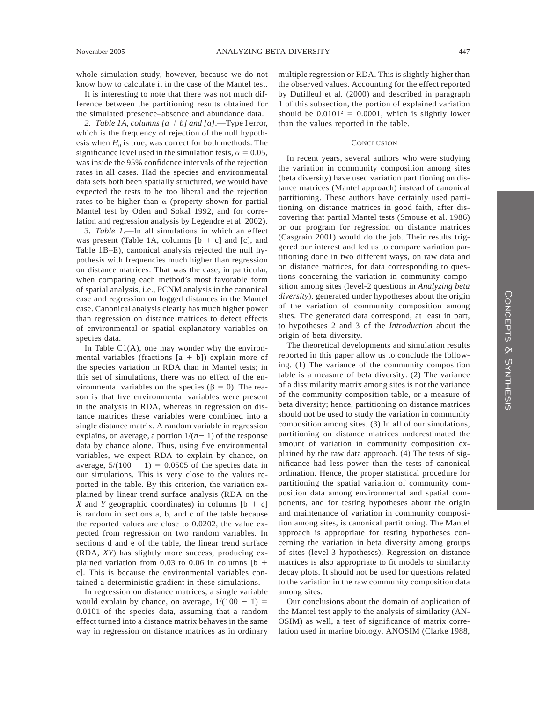whole simulation study, however, because we do not know how to calculate it in the case of the Mantel test.

It is interesting to note that there was not much difference between the partitioning results obtained for the simulated presence–absence and abundance data.

2. Table 1A, columns  $[a + b]$  and  $[a]$ .—Type I error, which is the frequency of rejection of the null hypothesis when  $H_0$  is true, was correct for both methods. The significance level used in the simulation tests,  $\alpha = 0.05$ , was inside the 95% confidence intervals of the rejection rates in all cases. Had the species and environmental data sets both been spatially structured, we would have expected the tests to be too liberal and the rejection rates to be higher than  $\alpha$  (property shown for partial Mantel test by Oden and Sokal 1992, and for correlation and regression analysis by Legendre et al. 2002).

*3. Table 1*.—In all simulations in which an effect was present (Table 1A, columns  $[b + c]$  and  $[c]$ , and Table 1B–E), canonical analysis rejected the null hypothesis with frequencies much higher than regression on distance matrices. That was the case, in particular, when comparing each method's most favorable form of spatial analysis, i.e., PCNM analysis in the canonical case and regression on logged distances in the Mantel case. Canonical analysis clearly has much higher power than regression on distance matrices to detect effects of environmental or spatial explanatory variables on species data.

In Table  $Cl(A)$ , one may wonder why the environmental variables (fractions  $[a + b]$ ) explain more of the species variation in RDA than in Mantel tests; in this set of simulations, there was no effect of the environmental variables on the species ( $\beta = 0$ ). The reason is that five environmental variables were present in the analysis in RDA, whereas in regression on distance matrices these variables were combined into a single distance matrix. A random variable in regression explains, on average, a portion  $1/(n-1)$  of the response data by chance alone. Thus, using five environmental variables, we expect RDA to explain by chance, on average,  $5/(100 - 1) = 0.0505$  of the species data in our simulations. This is very close to the values reported in the table. By this criterion, the variation explained by linear trend surface analysis (RDA on the *X* and *Y* geographic coordinates) in columns  $[b + c]$ is random in sections a, b, and c of the table because the reported values are close to 0.0202, the value expected from regression on two random variables. In sections d and e of the table, the linear trend surface (RDA, *XY*) has slightly more success, producing explained variation from 0.03 to 0.06 in columns  $[b +$ c]. This is because the environmental variables contained a deterministic gradient in these simulations.

In regression on distance matrices, a single variable would explain by chance, on average,  $1/(100 - 1) =$ 0.0101 of the species data, assuming that a random effect turned into a distance matrix behaves in the same way in regression on distance matrices as in ordinary multiple regression or RDA. This is slightly higher than the observed values. Accounting for the effect reported by Dutilleul et al. (2000) and described in paragraph 1 of this subsection, the portion of explained variation should be  $0.0101^2 = 0.0001$ , which is slightly lower than the values reported in the table.

#### **CONCLUSION**

In recent years, several authors who were studying the variation in community composition among sites (beta diversity) have used variation partitioning on distance matrices (Mantel approach) instead of canonical partitioning. These authors have certainly used partitioning on distance matrices in good faith, after discovering that partial Mantel tests (Smouse et al. 1986) or our program for regression on distance matrices (Casgrain 2001) would do the job. Their results triggered our interest and led us to compare variation partitioning done in two different ways, on raw data and on distance matrices, for data corresponding to questions concerning the variation in community composition among sites (level-2 questions in *Analyzing beta diversity*), generated under hypotheses about the origin of the variation of community composition among sites. The generated data correspond, at least in part, to hypotheses 2 and 3 of the *Introduction* about the origin of beta diversity.

The theoretical developments and simulation results reported in this paper allow us to conclude the following. (1) The variance of the community composition table is a measure of beta diversity. (2) The variance of a dissimilarity matrix among sites is not the variance of the community composition table, or a measure of beta diversity; hence, partitioning on distance matrices should not be used to study the variation in community composition among sites. (3) In all of our simulations, partitioning on distance matrices underestimated the amount of variation in community composition explained by the raw data approach. (4) The tests of significance had less power than the tests of canonical ordination. Hence, the proper statistical procedure for partitioning the spatial variation of community composition data among environmental and spatial components, and for testing hypotheses about the origin and maintenance of variation in community composition among sites, is canonical partitioning. The Mantel approach is appropriate for testing hypotheses concerning the variation in beta diversity among groups of sites (level-3 hypotheses). Regression on distance matrices is also appropriate to fit models to similarity decay plots. It should not be used for questions related to the variation in the raw community composition data among sites.

Our conclusions about the domain of application of the Mantel test apply to the analysis of similarity (AN-OSIM) as well, a test of significance of matrix correlation used in marine biology. ANOSIM (Clarke 1988,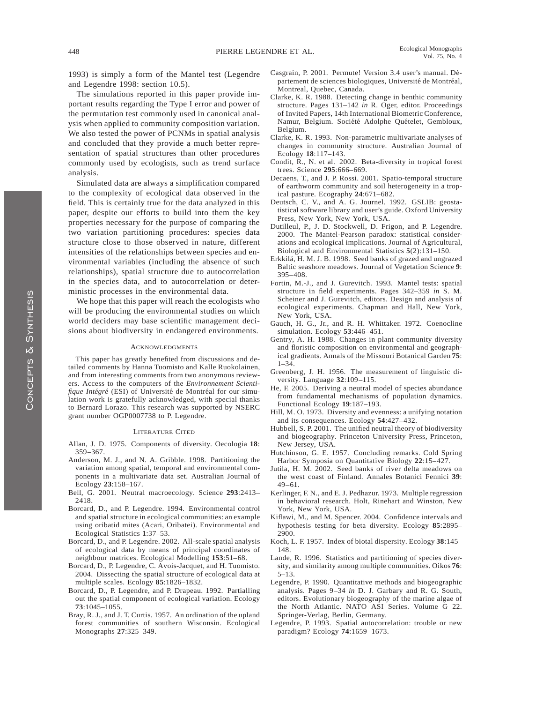1993) is simply a form of the Mantel test (Legendre and Legendre 1998: section 10.5).

The simulations reported in this paper provide important results regarding the Type I error and power of the permutation test commonly used in canonical analysis when applied to community composition variation. We also tested the power of PCNMs in spatial analysis and concluded that they provide a much better representation of spatial structures than other procedures commonly used by ecologists, such as trend surface analysis.

Simulated data are always a simplification compared to the complexity of ecological data observed in the field. This is certainly true for the data analyzed in this paper, despite our efforts to build into them the key properties necessary for the purpose of comparing the two variation partitioning procedures: species data structure close to those observed in nature, different intensities of the relationships between species and environmental variables (including the absence of such relationships), spatial structure due to autocorrelation in the species data, and to autocorrelation or deterministic processes in the environmental data.

We hope that this paper will reach the ecologists who will be producing the environmental studies on which world deciders may base scientific management decisions about biodiversity in endangered environments.

#### **ACKNOWLEDGMENTS**

This paper has greatly benefited from discussions and detailed comments by Hanna Tuomisto and Kalle Ruokolainen, and from interesting comments from two anonymous reviewers. Access to the computers of the *Environnement Scientifique Intégré* (ESI) of Université de Montréal for our simulation work is gratefully acknowledged, with special thanks to Bernard Lorazo. This research was supported by NSERC grant number OGP0007738 to P. Legendre.

#### LITERATURE CITED

- Allan, J. D. 1975. Components of diversity. Oecologia **18**: 359–367.
- Anderson, M. J., and N. A. Gribble. 1998. Partitioning the variation among spatial, temporal and environmental components in a multivariate data set. Australian Journal of Ecology **23**:158–167.
- Bell, G. 2001. Neutral macroecology. Science **293**:2413– 2418.
- Borcard, D., and P. Legendre. 1994. Environmental control and spatial structure in ecological communities: an example using oribatid mites (Acari, Oribatei). Environmental and Ecological Statistics **1**:37–53.
- Borcard, D., and P. Legendre. 2002. All-scale spatial analysis of ecological data by means of principal coordinates of neighbour matrices. Ecological Modelling **153**:51–68.
- Borcard, D., P. Legendre, C. Avois-Jacquet, and H. Tuomisto. 2004. Dissecting the spatial structure of ecological data at multiple scales. Ecology **85**:1826–1832.
- Borcard, D., P. Legendre, and P. Drapeau. 1992. Partialling out the spatial component of ecological variation. Ecology **73**:1045–1055.
- Bray, R. J., and J. T. Curtis. 1957. An ordination of the upland forest communities of southern Wisconsin. Ecological Monographs **27**:325–349.
- Casgrain, P. 2001. Permute! Version 3.4 user's manual. Département de sciences biologiques, Université de Montréal, Montreal, Quebec, Canada.
- Clarke, K. R. 1988. Detecting change in benthic community structure. Pages 131–142 *in* R. Oger, editor. Proceedings of Invited Papers, 14th International Biometric Conference, Namur, Belgium. Société Adolphe Quételet, Gembloux, Belgium.
- Clarke, K. R. 1993. Non-parametric multivariate analyses of changes in community structure. Australian Journal of Ecology **18**:117–143.
- Condit, R., N. et al. 2002. Beta-diversity in tropical forest trees. Science **295**:666–669.
- Decaens, T., and J. P. Rossi. 2001. Spatio-temporal structure of earthworm community and soil heterogeneity in a tropical pasture. Ecography **24**:671–682.
- Deutsch, C. V., and A. G. Journel. 1992. GSLIB: geostatistical software library and user's guide. Oxford University Press, New York, New York, USA.
- Dutilleul, P., J. D. Stockwell, D. Frigon, and P. Legendre. 2000. The Mantel-Pearson paradox: statistical considerations and ecological implications. Journal of Agricultural, Biological and Environmental Statistics **5**(2):131–150.
- Erkkilä, H. M. J. B. 1998. Seed banks of grazed and ungrazed Baltic seashore meadows. Journal of Vegetation Science **9**: 395–408.
- Fortin, M.-J., and J. Gurevitch. 1993. Mantel tests: spatial structure in field experiments. Pages 342–359 *in* S. M. Scheiner and J. Gurevitch, editors. Design and analysis of ecological experiments. Chapman and Hall, New York, New York, USA.
- Gauch, H. G., Jr., and R. H. Whittaker. 1972. Coenocline simulation. Ecology **53**:446–451.
- Gentry, A. H. 1988. Changes in plant community diversity and floristic composition on environmental and geographical gradients. Annals of the Missouri Botanical Garden **75**: 1–34.
- Greenberg, J. H. 1956. The measurement of linguistic diversity. Language **32**:109–115.
- He, F. 2005. Deriving a neutral model of species abundance from fundamental mechanisms of population dynamics. Functional Ecology **19**:187–193.
- Hill, M. O. 1973. Diversity and evenness: a unifying notation and its consequences. Ecology **54**:427–432.
- Hubbell, S. P. 2001. The unified neutral theory of biodiversity and biogeography. Princeton University Press, Princeton, New Jersey, USA.
- Hutchinson, G. E. 1957. Concluding remarks. Cold Spring Harbor Symposia on Quantitative Biology **22**:15–427.
- Jutila, H. M. 2002. Seed banks of river delta meadows on the west coast of Finland. Annales Botanici Fennici **39**: 49–61.
- Kerlinger, F. N., and E. J. Pedhazur. 1973. Multiple regression in behavioral research. Holt, Rinehart and Winston, New York, New York, USA.
- Kiflawi, M., and M. Spencer. 2004. Confidence intervals and hypothesis testing for beta diversity. Ecology **85**:2895– 2900.
- Koch, L. F. 1957. Index of biotal dispersity. Ecology **38**:145– 148.
- Lande, R. 1996. Statistics and partitioning of species diversity, and similarity among multiple communities. Oikos **76**: 5–13.
- Legendre, P. 1990. Quantitative methods and biogeographic analysis. Pages 9–34 *in* D. J. Garbary and R. G. South, editors. Evolutionary biogeography of the marine algae of the North Atlantic. NATO ASI Series. Volume G 22. Springer-Verlag, Berlin, Germany.
- Legendre, P. 1993. Spatial autocorrelation: trouble or new paradigm? Ecology **74**:1659–1673.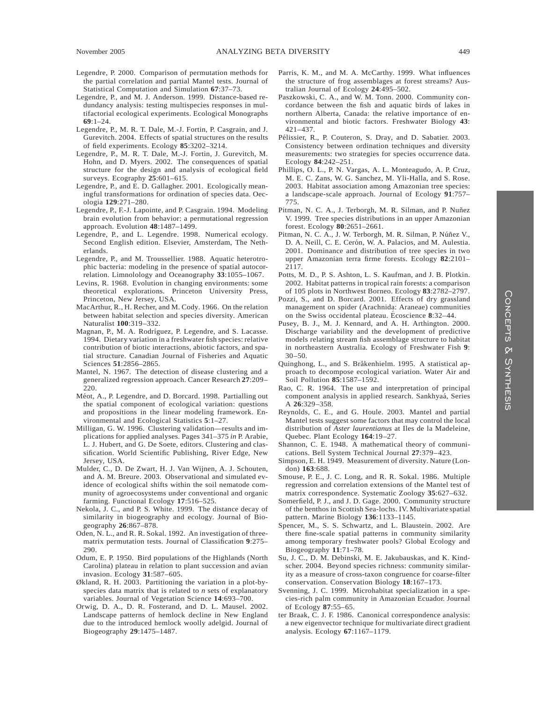- Legendre, P. 2000. Comparison of permutation methods for the partial correlation and partial Mantel tests. Journal of Statistical Computation and Simulation **67**:37–73.
- Legendre, P., and M. J. Anderson. 1999. Distance-based redundancy analysis: testing multispecies responses in multifactorial ecological experiments. Ecological Monographs **69**:1–24.
- Legendre, P., M. R. T. Dale, M.-J. Fortin, P. Casgrain, and J. Gurevitch. 2004. Effects of spatial structures on the results of field experiments. Ecology **85**:3202–3214.
- Legendre, P., M. R. T. Dale, M.-J. Fortin, J. Gurevitch, M. Hohn, and D. Myers. 2002. The consequences of spatial structure for the design and analysis of ecological field surveys. Ecography **25**:601–615.
- Legendre, P., and E. D. Gallagher. 2001. Ecologically meaningful transformations for ordination of species data. Oecologia **129**:271–280.
- Legendre, P., F.-J. Lapointe, and P. Casgrain. 1994. Modeling brain evolution from behavior: a permutational regression approach. Evolution **48**:1487–1499.
- Legendre, P., and L. Legendre. 1998. Numerical ecology. Second English edition. Elsevier, Amsterdam, The Netherlands.
- Legendre, P., and M. Troussellier. 1988. Aquatic heterotrophic bacteria: modeling in the presence of spatial autocorrelation. Limnolology and Oceanography **33**:1055–1067.
- Levins, R. 1968. Evolution in changing environments: some theoretical explorations. Princeton University Press, Princeton, New Jersey, USA.
- MacArthur, R., H. Recher, and M. Cody. 1966. On the relation between habitat selection and species diversity. American Naturalist **100**:319–332.
- Magnan, P., M. A. Rodríguez, P. Legendre, and S. Lacasse. 1994. Dietary variation in a freshwater fish species: relative contribution of biotic interactions, abiotic factors, and spatial structure. Canadian Journal of Fisheries and Aquatic Sciences **51**:2856–2865.
- Mantel, N. 1967. The detection of disease clustering and a generalized regression approach. Cancer Research **27**:209– 220.
- Méot, A., P. Legendre, and D. Borcard. 1998. Partialling out the spatial component of ecological variation: questions and propositions in the linear modeling framework. Environmental and Ecological Statistics **5**:1–27.
- Milligan, G. W. 1996. Clustering validation—results and implications for applied analyses. Pages 341–375 *in* P. Arabie, L. J. Hubert, and G. De Soete, editors. Clustering and classification. World Scientific Publishing, River Edge, New Jersey, USA.
- Mulder, C., D. De Zwart, H. J. Van Wijnen, A. J. Schouten, and A. M. Breure. 2003. Observational and simulated evidence of ecological shifts within the soil nematode community of agroecosystems under conventional and organic farming. Functional Ecology **17**:516–525.
- Nekola, J. C., and P. S. White. 1999. The distance decay of similarity in biogeography and ecology. Journal of Biogeography **26**:867–878.
- Oden, N. L., and R. R. Sokal. 1992. An investigation of threematrix permutation tests. Journal of Classification **9**:275– 290.
- Odum, E. P. 1950. Bird populations of the Highlands (North Carolina) plateau in relation to plant succession and avian invasion. Ecology **31**:587–605.
- Økland, R. H. 2003. Partitioning the variation in a plot-byspecies data matrix that is related to *n* sets of explanatory variables. Journal of Vegetation Science **14**:693–700.
- Orwig, D. A., D. R. Fosterand, and D. L. Mausel. 2002. Landscape patterns of hemlock decline in New England due to the introduced hemlock woolly adelgid. Journal of Biogeography **29**:1475–1487.
- Parris, K. M., and M. A. McCarthy. 1999. What influences the structure of frog assemblages at forest streams? Australian Journal of Ecology **24**:495–502.
- Paszkowski, C. A., and W. M. Tonn. 2000. Community concordance between the fish and aquatic birds of lakes in northern Alberta, Canada: the relative importance of environmental and biotic factors. Freshwater Biology **43**: 421–437.
- Pélissier, R., P. Couteron, S. Dray, and D. Sabatier. 2003. Consistency between ordination techniques and diversity measurements: two strategies for species occurrence data. Ecology **84**:242–251.
- Phillips, O. L., P. N. Vargas, A. L. Monteagudo, A. P. Cruz, M. E. C. Zans, W. G. Sanchez, M. Yli-Halla, and S. Rose. 2003. Habitat association among Amazonian tree species: a landscape-scale approach. Journal of Ecology **91**:757– 775.
- Pitman, N. C. A., J. Terborgh, M. R. Silman, and P. Nuñez V. 1999. Tree species distributions in an upper Amazonian forest. Ecology **80**:2651–2661.
- Pitman, N. C. A., J. W. Terborgh, M. R. Silman, P. Núñez V., D. A. Neill, C. E. Cerón, W. A. Palacios, and M. Aulestia. 2001. Dominance and distribution of tree species in two upper Amazonian terra firme forests. Ecology **82**:2101– 2117.
- Potts, M. D., P. S. Ashton, L. S. Kaufman, and J. B. Plotkin. 2002. Habitat patterns in tropical rain forests: a comparison of 105 plots in Northwest Borneo. Ecology **83**:2782–2797.
- Pozzi, S., and D. Borcard. 2001. Effects of dry grassland management on spider (Arachnida: Araneae) communities on the Swiss occidental plateau. Écoscience 8:32–44.
- Pusey, B. J., M. J. Kennard, and A. H. Arthington. 2000. Discharge variability and the development of predictive models relating stream fish assemblage structure to habitat in northeastern Australia. Ecology of Freshwater Fish **9**: 30–50.
- Quinghong, L., and S. Bråkenhielm. 1995. A statistical approach to decompose ecological variation. Water Air and Soil Pollution **85**:1587–1592.
- Rao, C. R. 1964. The use and interpretation of principal component analysis in applied research. Sankhyaá, Series A **26**:329–358.
- Reynolds, C. E., and G. Houle. 2003. Mantel and partial Mantel tests suggest some factors that may control the local distribution of *Aster laurentianus* at Iles de la Madeleine, Quebec. Plant Ecology **164**:19–27.
- Shannon, C. E. 1948. A mathematical theory of communications. Bell System Technical Journal **27**:379–423.
- Simpson, E. H. 1949. Measurement of diversity. Nature (London) **163**:688.
- Smouse, P. E., J. C. Long, and R. R. Sokal. 1986. Multiple regression and correlation extensions of the Mantel test of matrix correspondence. Systematic Zoology **35**:627–632.
- Somerfield, P. J., and J. D. Gage. 2000. Community structure of the benthos in Scottish Sea-lochs. IV. Multivariate spatial pattern. Marine Biology **136**:1133–1145.
- Spencer, M., S. S. Schwartz, and L. Blaustein. 2002. Are there fine-scale spatial patterns in community similarity among temporary freshwater pools? Global Ecology and Biogeography **11**:71–78.
- Su, J. C., D. M. Debinski, M. E. Jakubauskas, and K. Kindscher. 2004. Beyond species richness: community similarity as a measure of cross-taxon congruence for coarse-filter conservation. Conservation Biology **18**:167–173.
- Svenning, J. C. 1999. Microhabitat specialization in a species-rich palm community in Amazonian Ecuador. Journal of Ecology **87**:55–65.
- ter Braak, C. J. F. 1986. Canonical correspondence analysis: a new eigenvector technique for multivariate direct gradient analysis. Ecology **67**:1167–1179.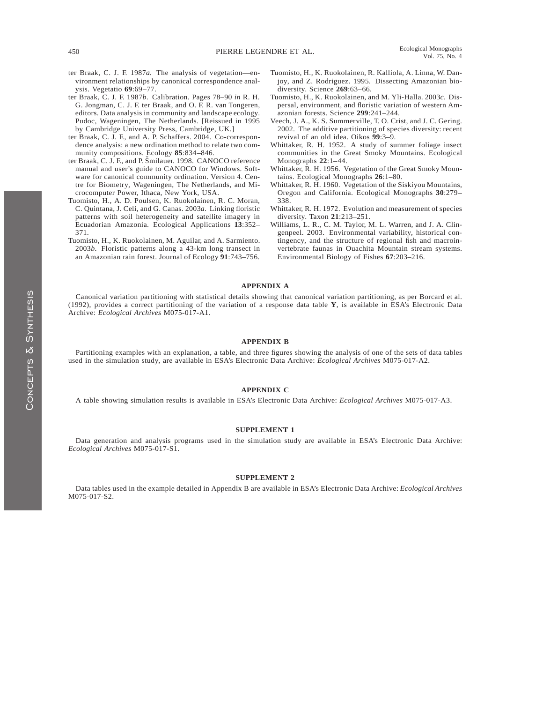- ter Braak, C. J. F. 1987*a.* The analysis of vegetation—environment relationships by canonical correspondence analysis. Vegetatio **69**:69–77.
- ter Braak, C. J. F. 1987*b*. Calibration. Pages 78–90 *in* R. H. G. Jongman, C. J. F. ter Braak, and O. F. R. van Tongeren, editors. Data analysis in community and landscape ecology. Pudoc, Wageningen, The Netherlands. [Reissued in 1995 by Cambridge University Press, Cambridge, UK.]
- ter Braak, C. J. F., and A. P. Schaffers. 2004. Co-correspondence analysis: a new ordination method to relate two community compositions. Ecology **85**:834–846.
- ter Braak, C. J. F., and P. Šmilauer. 1998. CANOCO reference manual and user's guide to CANOCO for Windows. Software for canonical community ordination. Version 4. Centre for Biometry, Wageningen, The Netherlands, and Microcomputer Power, Ithaca, New York, USA.
- Tuomisto, H., A. D. Poulsen, K. Ruokolainen, R. C. Moran, C. Quintana, J. Celi, and G. Canas. 2003*a*. Linking floristic patterns with soil heterogeneity and satellite imagery in Ecuadorian Amazonia. Ecological Applications **13**:352– 371.
- Tuomisto, H., K. Ruokolainen, M. Aguilar, and A. Sarmiento. 2003*b*. Floristic patterns along a 43-km long transect in an Amazonian rain forest. Journal of Ecology **91**:743–756.
- Tuomisto, H., K. Ruokolainen, R. Kalliola, A. Linna, W. Danjoy, and Z. Rodriguez. 1995. Dissecting Amazonian biodiversity. Science **269**:63–66.
- Tuomisto, H., K. Ruokolainen, and M. Yli-Halla. 2003*c*. Dispersal, environment, and floristic variation of western Amazonian forests. Science **299**:241–244.
- Veech, J. A., K. S. Summerville, T. O. Crist, and J. C. Gering. 2002. The additive partitioning of species diversity: recent revival of an old idea. Oikos **99**:3–9.
- Whittaker, R. H. 1952. A study of summer foliage insect communities in the Great Smoky Mountains. Ecological Monographs **22**:1–44.
- Whittaker, R. H. 1956. Vegetation of the Great Smoky Mountains. Ecological Monographs **26**:1–80.
- Whittaker, R. H. 1960. Vegetation of the Siskiyou Mountains, Oregon and California. Ecological Monographs **30**:279– 338.
- Whittaker, R. H. 1972. Evolution and measurement of species diversity. Taxon **21**:213–251.
- Williams, L. R., C. M. Taylor, M. L. Warren, and J. A. Clingenpeel. 2003. Environmental variability, historical contingency, and the structure of regional fish and macroinvertebrate faunas in Ouachita Mountain stream systems. Environmental Biology of Fishes **67**:203–216.

#### **APPENDIX A**

Canonical variation partitioning with statistical details showing that canonical variation partitioning, as per Borcard et al. (1992), provides a correct partitioning of the variation of a response data table **Y**, is available in ESA's Electronic Data Archive: *Ecological Archives* M075-017-A1.

#### **APPENDIX B**

Partitioning examples with an explanation, a table, and three figures showing the analysis of one of the sets of data tables used in the simulation study, are available in ESA's Electronic Data Archive: *Ecological Archives* M075-017-A2.

#### **APPENDIX C**

A table showing simulation results is available in ESA's Electronic Data Archive: *Ecological Archives* M075-017-A3.

#### **SUPPLEMENT 1**

Data generation and analysis programs used in the simulation study are available in ESA's Electronic Data Archive: *Ecological Archives* M075-017-S1.

#### **SUPPLEMENT 2**

Data tables used in the example detailed in Appendix B are available in ESA's Electronic Data Archive: *Ecological Archives* M075-017-S2.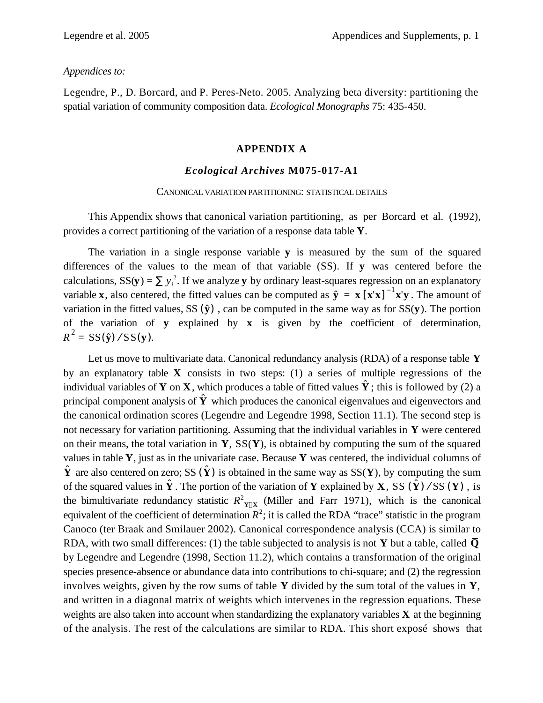## *Appendices to:*

Legendre, P., D. Borcard, and P. Peres-Neto. 2005. Analyzing beta diversity: partitioning the spatial variation of community composition data. *Ecological Monographs* 75: 435-450.

# **APPENDIX A**

# *Ecological Archives* **M075-017-A1**

## CANONICAL VARIATION PARTITIONING: STATISTICAL DETAILS

This Appendix shows that canonical variation partitioning, as per Borcard et al. (1992), provides a correct partitioning of the variation of a response data table **Y**.

The variation in a single response variable **y** is measured by the sum of the squared differences of the values to the mean of that variable (SS). If **y** was centered before the calculations,  $SS(y) = y_i^2$ . If we analyze y by ordinary least-squares regression on an explanatory variable **x**, also centered, the fitted values can be computed as  $\hat{\mathbf{y}} = \mathbf{x} [\mathbf{x}^{\dagger} \mathbf{x}]^{-1} \mathbf{x}^{\dagger} \mathbf{y}$ . The amount of variation in the fitted values, SS  $(\hat{v})$ , can be computed in the same way as for SS( $v$ ). The portion of the variation of **y** explained by **x** is given by the coefficient of determination,  $R^2 = SS(\hat{y}) / SS(y)$ .

Let us move to multivariate data. Canonical redundancy analysis (RDA) of a response table **Y** by an explanatory table **X** consists in two steps: (1) a series of multiple regressions of the individual variables of **Y** on **X**, which produces a table of fitted values  $\hat{\mathbf{Y}}$ ; this is followed by (2) a principal component analysis of  $\hat{\mathbf{Y}}$  which produces the canonical eigenvalues and eigenvectors and the canonical ordination scores (Legendre and Legendre 1998, Section 11.1). The second step is not necessary for variation partitioning. Assuming that the individual variables in **Y** were centered on their means, the total variation in **Y**, SS(**Y**), is obtained by computing the sum of the squared values in table **Y**, just as in the univariate case. Because **Y** was centered, the individual columns of  $\hat{Y}$  are also centered on zero; SS  $(\hat{Y})$  is obtained in the same way as SS(Y), by computing the sum of the squared values in  $\hat{Y}$ . The portion of the variation of Y explained by X, SS  $(\hat{Y})$  /SS  $(Y)$ , is the bimultivariate redundancy statistic  $R_{\text{Y}X}^2$  (Miller and Farr 1971), which is the canonical equivalent of the coefficient of determination  $R^2$ ; it is called the RDA "trace" statistic in the program Canoco (ter Braak and Smilauer 2002). Canonical correspondence analysis (CCA) is similar to RDA, with two small differences: (1) the table subjected to analysis is not **Y** but a table, called  $\overline{O}$ by Legendre and Legendre (1998, Section 11.2), which contains a transformation of the original species presence-absence or abundance data into contributions to chi-square; and (2) the regression involves weights, given by the row sums of table **Y** divided by the sum total of the values in **Y**, and written in a diagonal matrix of weights which intervenes in the regression equations. These weights are also taken into account when standardizing the explanatory variables **X** at the beginning of the analysis. The rest of the calculations are similar to RDA. This short exposé shows that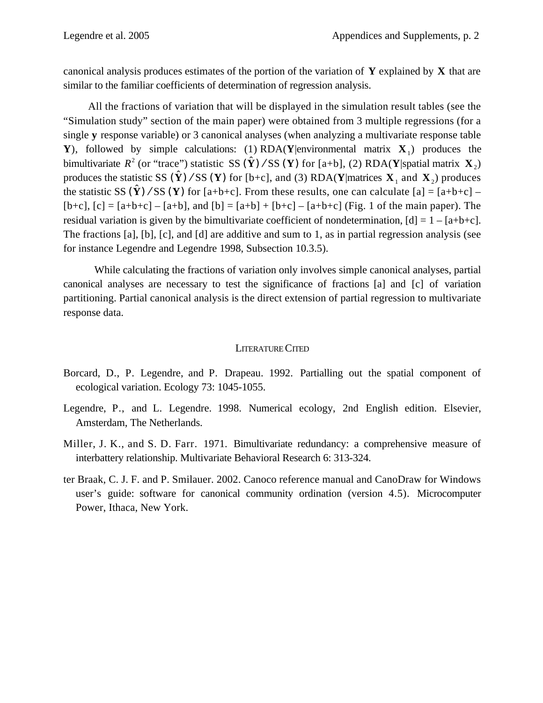canonical analysis produces estimates of the portion of the variation of **Y** explained by **X** that are similar to the familiar coefficients of determination of regression analysis.

All the fractions of variation that will be displayed in the simulation result tables (see the "Simulation study" section of the main paper) were obtained from 3 multiple regressions (for a single **y** response variable) or 3 canonical analyses (when analyzing a multivariate response table **Y**), followed by simple calculations: (1)  $RDA(Y|$ environmental matrix  $X_1$ ) produces the bimultivariate  $R^2$  (or "trace") statistic SS  $(\hat{Y})$  /SS  $(Y)$  for [a+b], (2) RDA(Y|spatial matrix  $X_2$ ) produces the statistic SS  $(\hat{Y})$  /SS  $(Y)$  for [b+c], and (3) RDA(**Y**|matrices  $X_1$  and  $X_2$ ) produces the statistic SS  $(\hat{Y})$  */*SS  $(Y)$  for [a+b+c]. From these results, one can calculate [a] = [a+b+c] –  $[b+c]$ ,  $[c] = [a+b+c] - [a+b]$ , and  $[b] = [a+b] + [b+c] - [a+b+c]$  (Fig. 1 of the main paper). The residual variation is given by the bimultivariate coefficient of nondetermination,  $[d] = 1 - [a+b+c]$ . The fractions [a], [b], [c], and [d] are additive and sum to 1, as in partial regression analysis (see for instance Legendre and Legendre 1998, Subsection 10.3.5).

While calculating the fractions of variation only involves simple canonical analyses, partial canonical analyses are necessary to test the significance of fractions [a] and [c] of variation partitioning. Partial canonical analysis is the direct extension of partial regression to multivariate response data.

## LITERATURE CITED

- Borcard, D., P. Legendre, and P. Drapeau. 1992. Partialling out the spatial component of ecological variation. Ecology 73: 1045-1055.
- Legendre, P., and L. Legendre. 1998. Numerical ecology, 2nd English edition. Elsevier, Amsterdam, The Netherlands.
- Miller, J. K., and S. D. Farr. 1971. Bimultivariate redundancy: a comprehensive measure of interbattery relationship. Multivariate Behavioral Research 6: 313-324.
- ter Braak, C. J. F. and P. Smilauer. 2002. Canoco reference manual and CanoDraw for Windows user's guide: software for canonical community ordination (version 4.5). Microcomputer Power, Ithaca, New York.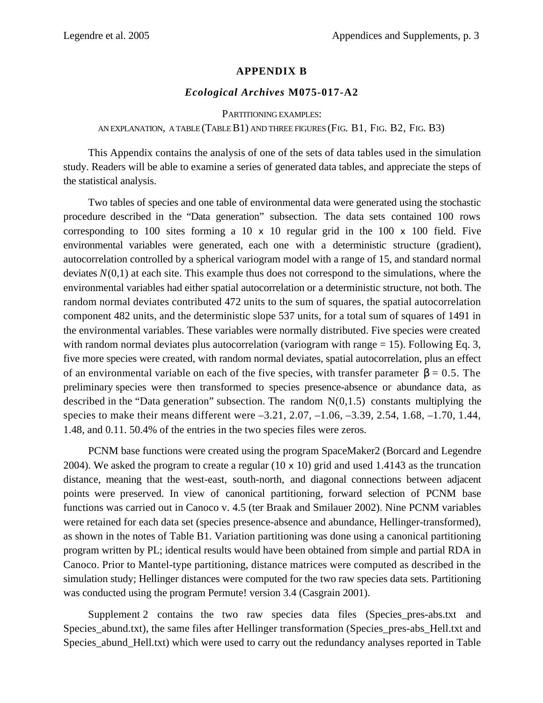## **APPENDIX B**

## *Ecological Archives* **M075-017-A2**

## PARTITIONING EXAMPLES:

## AN EXPLANATION, A TABLE  $(TABLE B1)$  and three figures (Fig.  $B1$ , Fig.  $B2$ , Fig.  $B3$ )

This Appendix contains the analysis of one of the sets of data tables used in the simulation study. Readers will be able to examine a series of generated data tables, and appreciate the steps of the statistical analysis.

Two tables of species and one table of environmental data were generated using the stochastic procedure described in the "Data generation" subsection. The data sets contained 100 rows corresponding to 100 sites forming a 10  $\times$  10 regular grid in the 100  $\times$  100 field. Five environmental variables were generated, each one with a deterministic structure (gradient), autocorrelation controlled by a spherical variogram model with a range of 15, and standard normal deviates  $N(0,1)$  at each site. This example thus does not correspond to the simulations, where the environmental variables had either spatial autocorrelation or a deterministic structure, not both. The random normal deviates contributed 472 units to the sum of squares, the spatial autocorrelation component 482 units, and the deterministic slope 537 units, for a total sum of squares of 1491 in the environmental variables. These variables were normally distributed. Five species were created with random normal deviates plus autocorrelation (variogram with range  $= 15$ ). Following Eq. 3, five more species were created, with random normal deviates, spatial autocorrelation, plus an effect of an environmental variable on each of the five species, with transfer parameter = 0.5. The preliminary species were then transformed to species presence-absence or abundance data, as described in the "Data generation" subsection. The random  $N(0,1.5)$  constants multiplying the species to make their means different were  $-3.21$ , 2.07,  $-1.06$ ,  $-3.39$ , 2.54, 1.68,  $-1.70$ , 1.44, 1.48, and 0.11. 50.4% of the entries in the two species files were zeros.

PCNM base functions were created using the program SpaceMaker2 (Borcard and Legendre 2004). We asked the program to create a regular  $(10 \times 10)$  grid and used 1.4143 as the truncation distance, meaning that the west-east, south-north, and diagonal connections between adjacent points were preserved. In view of canonical partitioning, forward selection of PCNM base functions was carried out in Canoco v. 4.5 (ter Braak and Smilauer 2002). Nine PCNM variables were retained for each data set (species presence-absence and abundance, Hellinger-transformed), as shown in the notes of Table B1. Variation partitioning was done using a canonical partitioning program written by PL; identical results would have been obtained from simple and partial RDA in Canoco. Prior to Mantel-type partitioning, distance matrices were computed as described in the simulation study; Hellinger distances were computed for the two raw species data sets. Partitioning was conducted using the program Permute! version 3.4 (Casgrain 2001).

Supplement 2 contains the two raw species data files (Species\_pres-abs.txt and Species\_abund.txt), the same files after Hellinger transformation (Species\_pres-abs\_Hell.txt and Species\_abund\_Hell.txt) which were used to carry out the redundancy analyses reported in Table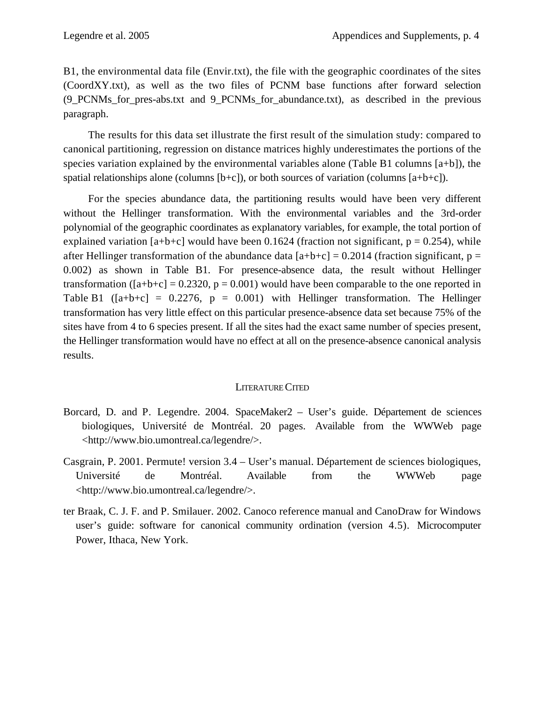B1, the environmental data file (Envir.txt), the file with the geographic coordinates of the sites (CoordXY.txt), as well as the two files of PCNM base functions after forward selection (9\_PCNMs\_for\_pres-abs.txt and 9\_PCNMs\_for\_abundance.txt), as described in the previous paragraph.

The results for this data set illustrate the first result of the simulation study: compared to canonical partitioning, regression on distance matrices highly underestimates the portions of the species variation explained by the environmental variables alone (Table B1 columns  $[a+b]$ ), the spatial relationships alone (columns  $[b+c]$ ), or both sources of variation (columns  $[a+b+c]$ ).

For the species abundance data, the partitioning results would have been very different without the Hellinger transformation. With the environmental variables and the 3rd-order polynomial of the geographic coordinates as explanatory variables, for example, the total portion of explained variation  $[a+b+c]$  would have been 0.1624 (fraction not significant,  $p = 0.254$ ), while after Hellinger transformation of the abundance data  $[a+b+c] = 0.2014$  (fraction significant, p = 0.002) as shown in Table B1. For presence-absence data, the result without Hellinger transformation ( $[a+b+c] = 0.2320$ ,  $p = 0.001$ ) would have been comparable to the one reported in Table B1  $([a+b+c] = 0.2276, p = 0.001)$  with Hellinger transformation. The Hellinger transformation has very little effect on this particular presence-absence data set because 75% of the sites have from 4 to 6 species present. If all the sites had the exact same number of species present, the Hellinger transformation would have no effect at all on the presence-absence canonical analysis results.

# LITERATURE CITED

- Borcard, D. and P. Legendre. 2004. SpaceMaker2 User's guide. Département de sciences biologiques, Université de Montréal. 20 pages. Available from the WWWeb page <http://www.bio.umontreal.ca/legendre/>.
- Casgrain, P. 2001. Permute! version 3.4 User's manual. Département de sciences biologiques, Université de Montréal. Available from the WWWeb page <http://www.bio.umontreal.ca/legendre/>.
- ter Braak, C. J. F. and P. Smilauer. 2002. Canoco reference manual and CanoDraw for Windows user's guide: software for canonical community ordination (version 4.5). Microcomputer Power, Ithaca, New York.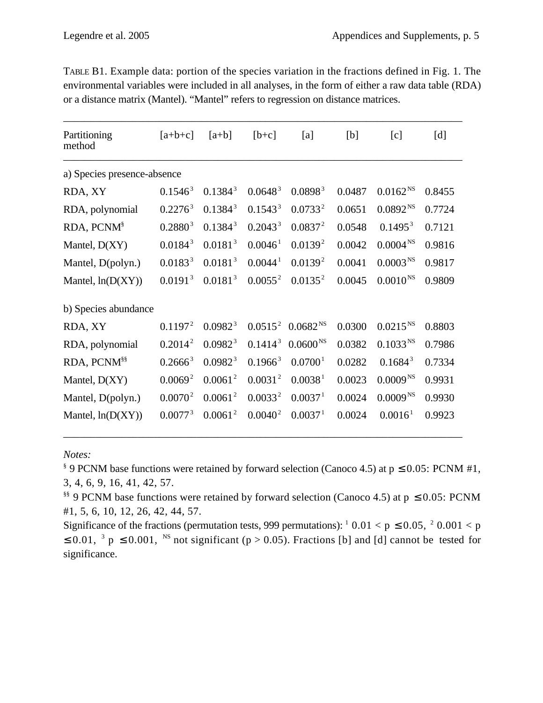| Partitioning<br>method      | $[a+b+c]$           | $[a+b]$             | $[b+c]$               | [a]                  | [b]    | [c]                  | [d]    |
|-----------------------------|---------------------|---------------------|-----------------------|----------------------|--------|----------------------|--------|
| a) Species presence-absence |                     |                     |                       |                      |        |                      |        |
| RDA, XY                     | $0.1546^3$          | $0.1384^3$          | $0.0648^3$            | 0.0898 <sup>3</sup>  | 0.0487 | $0.0162^{NS}$        | 0.8455 |
| RDA, polynomial             | 0.2276 <sup>3</sup> | 0.1384 <sup>3</sup> | $0.1543^{3}$          | $0.0733^{2}$         | 0.0651 | $0.0892^{NS}$        | 0.7724 |
| RDA, PCNM <sup>§</sup>      | 0.2880 <sup>3</sup> | 0.1384 <sup>3</sup> | $0.2043^3$            | 0.0837 <sup>2</sup>  | 0.0548 | $0.1495^3$           | 0.7121 |
| Mantel, D(XY)               | 0.0184 <sup>3</sup> | 0.0181 <sup>3</sup> | $0.0046$ <sup>1</sup> | 0.0139 <sup>2</sup>  | 0.0042 | 0.0004 <sup>NS</sup> | 0.9816 |
| Mantel, D(polyn.)           | $0.0183^{3}$        | 0.0181 <sup>3</sup> | 0.0044 <sup>1</sup>   | 0.0139 <sup>2</sup>  | 0.0041 | 0.0003 <sup>NS</sup> | 0.9817 |
| Mantel, $ln(D(XY))$         | 0.0191 <sup>3</sup> | 0.0181 <sup>3</sup> | $0.0055^2$            | $0.0135^2$           | 0.0045 | $0.0010^{NS}$        | 0.9809 |
| b) Species abundance        |                     |                     |                       |                      |        |                      |        |
| RDA, XY                     | 0.1197 <sup>2</sup> | 0.0982 <sup>3</sup> | $0.0515^2$            | 0.0682 <sup>NS</sup> | 0.0300 | $0.0215^{NS}$        | 0.8803 |
| RDA, polynomial             | $0.2014^2$          | 0.0982 <sup>3</sup> | 0.1414 <sup>3</sup>   | $0.0600^{NS}$        | 0.0382 | $0.1033^{NS}$        | 0.7986 |
| RDA, PCNM <sup>§§</sup>     | $0.2666^3$          | 0.0982 <sup>3</sup> | $0.1966^3$            | 0.0700 <sup>1</sup>  | 0.0282 | $0.1684^3$           | 0.7334 |
| Mantel, D(XY)               | 0.0069 <sup>2</sup> | 0.0061 <sup>2</sup> | 0.0031 <sup>2</sup>   | 0.0038 <sup>1</sup>  | 0.0023 | 0.0009 <sup>NS</sup> | 0.9931 |
| Mantel, D(polyn.)           | 0.0070 <sup>2</sup> | 0.0061 <sup>2</sup> | 0.0033 <sup>2</sup>   | 0.0037 <sup>1</sup>  | 0.0024 | 0.0009 <sup>NS</sup> | 0.9930 |
| Mantel, $ln(D(XY))$         | $0.0077^{3}$        | $0.0061^2$          | $0.0040^2$            | 0.0037 <sup>1</sup>  | 0.0024 | 0.0016 <sup>1</sup>  | 0.9923 |

TABLE B1. Example data: portion of the species variation in the fractions defined in Fig. 1. The environmental variables were included in all analyses, in the form of either a raw data table (RDA) or a distance matrix (Mantel). "Mantel" refers to regression on distance matrices.

*Notes:*

<sup>§</sup> 9 PCNM base functions were retained by forward selection (Canoco 4.5) at p 0.05: PCNM #1, 3, 4, 6, 9, 16, 41, 42, 57.

§§ 9 PCNM base functions were retained by forward selection (Canoco 4.5) at p 0.05: PCNM #1, 5, 6, 10, 12, 26, 42, 44, 57.

Significance of the fractions (permutation tests, 999 permutations):  $\frac{1}{1}$  0.01 < p 0.05,  $\frac{2}{1}$  0.001 < p 0.01, <sup>3</sup> p 0.001, <sup>NS</sup> not significant (p > 0.05). Fractions [b] and [d] cannot be tested for significance.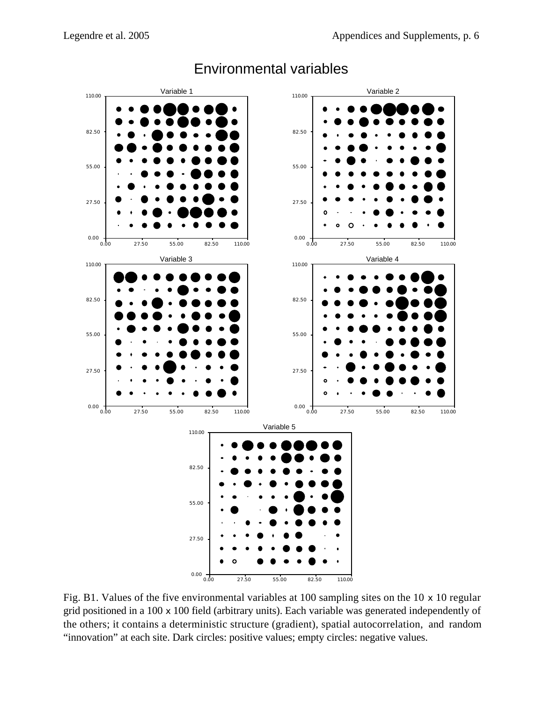

# Environmental variables

Fig. B1. Values of the five environmental variables at 100 sampling sites on the 10 x 10 regular grid positioned in a 100 x 100 field (arbitrary units). Each variable was generated independently of the others; it contains a deterministic structure (gradient), spatial autocorrelation, and random "innovation" at each site. Dark circles: positive values; empty circles: negative values.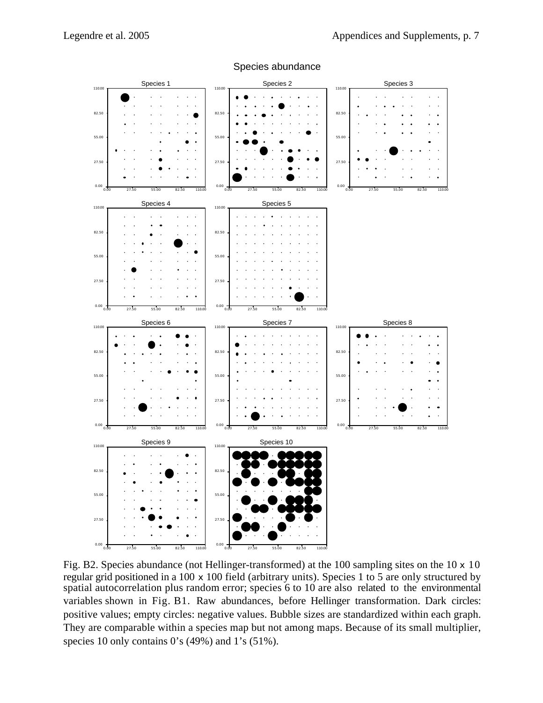

## Species abundance

Fig. B2. Species abundance (not Hellinger-transformed) at the 100 sampling sites on the 10 x 10 regular grid positioned in a 100 x 100 field (arbitrary units). Species 1 to 5 are only structured by spatial autocorrelation plus random error; species 6 to 10 are also related to the environmental variables shown in Fig. B1. Raw abundances, before Hellinger transformation. Dark circles: positive values; empty circles: negative values. Bubble sizes are standardized within each graph. They are comparable within a species map but not among maps. Because of its small multiplier, species 10 only contains  $0$ 's (49%) and  $1$ 's (51%).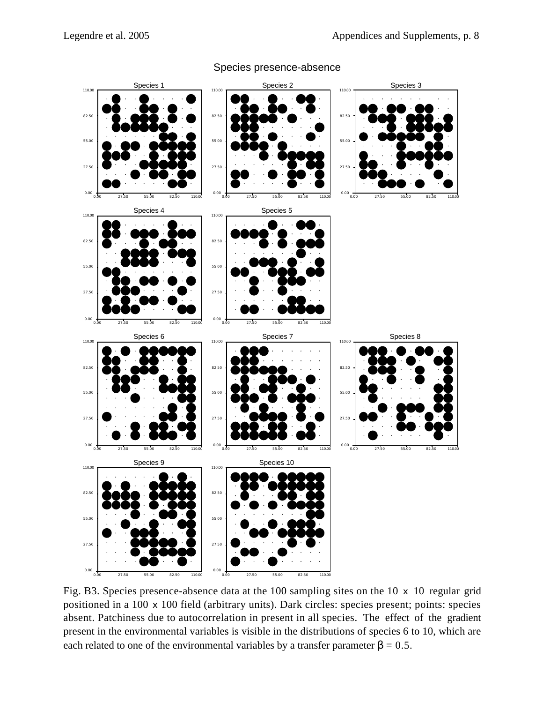0.00



# Species presence-absence

 27.50 55.00 82.50  $\begin{array}{c|c}\n\hline\n110.00 & 0.00 \\
\hline\n0.00 & 0.00\n\end{array}$  27.50 55.00 82.50 110.00

Fig. B3. Species presence-absence data at the 100 sampling sites on the 10 x 10 regular grid positioned in a 100 x 100 field (arbitrary units). Dark circles: species present; points: species absent. Patchiness due to autocorrelation in present in all species. The effect of the gradient present in the environmental variables is visible in the distributions of species 6 to 10, which are each related to one of the environmental variables by a transfer parameter  $= 0.5$ .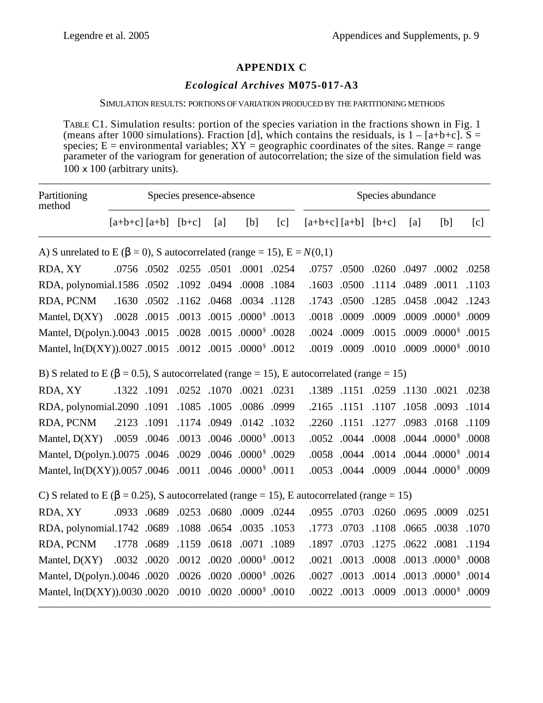# **APPENDIX C**

# *Ecological Archives* **M075-017-A3**

## SIMULATION RESULTS: PORTIONS OF VARIATION PRODUCED BY THE PARTITIONING METHODS

TABLE C1. Simulation results: portion of the species variation in the fractions shown in Fig. 1 (means after 1000 simulations). Fraction [d], which contains the residuals, is  $1 - [a+b+c]$ . S = species;  $E =$  environmental variables;  $XY =$  geographic coordinates of the sites. Range = range parameter of the variogram for generation of autocorrelation; the size of the simulation field was 100 x 100 (arbitrary units).

\_\_\_\_\_\_\_\_\_\_\_\_\_\_\_\_\_\_\_\_\_\_\_\_\_\_\_\_\_\_\_\_\_\_\_\_\_\_\_\_\_\_\_\_\_\_\_\_\_\_\_\_\_\_\_\_\_\_\_\_\_\_\_\_\_\_\_\_\_\_\_\_\_\_\_\_\_\_\_\_\_\_\_\_\_

| Partitioning<br>method                                                                       |                   |       | Species presence-absence |             |                                              | Species abundance |                   |       |         |             |                                      |       |
|----------------------------------------------------------------------------------------------|-------------------|-------|--------------------------|-------------|----------------------------------------------|-------------------|-------------------|-------|---------|-------------|--------------------------------------|-------|
|                                                                                              | $[a+b+c]$ $[a+b]$ |       | $[b+c]$                  | [a]         | [b]                                          | [c]               | $[a+b+c]$ $[a+b]$ |       | $[b+c]$ | [a]         | [b]                                  | [c]   |
| A) S unrelated to E ( $= 0$ ), S autocorrelated (range = 15), E = $N(0,1)$                   |                   |       |                          |             |                                              |                   |                   |       |         |             |                                      |       |
| RDA, XY                                                                                      | .0756 .0502       |       | .0255 .0501              |             | .0001                                        | .0254             | .0757             | .0500 | .0260   | .0497       | .0002                                | .0258 |
| RDA, polynomial.1586 .0502                                                                   |                   |       | .1092                    | .0494       | .0008.1084                                   |                   | .1603             | .0500 | .1114   | .0489       | .0011                                | .1103 |
| RDA, PCNM                                                                                    | .1630             | .0502 | .1162                    | .0468       | .0034.1128                                   |                   | .1743             | .0500 | .1285   | .0458       | .0042                                | .1243 |
| Mantel, D(XY)                                                                                | .0028             | .0015 | .0013                    | .0015       | $.0000^8$ .0013                              |                   | .0018             | .0009 | .0009   |             | $.0009$ $.0000$ <sup>§</sup>         | .0009 |
| Mantel, D(polyn.).0043 .0015                                                                 |                   |       | .0028                    | .0015       | $.0000^{\frac{8}{5}}$ .0028                  |                   | .0024             | .0009 | .0015   |             | $.0009$ $.0000$ <sup>§</sup>         | .0015 |
| Mantel, $ln(D(XY))$ .0027.0015                                                               |                   |       |                          |             | $.0012$ $.0015$ $.0000$ <sup>§</sup> $.0012$ |                   | .0019             | .0009 |         |             | $.0010$ $.0009$ $.0000$ <sup>§</sup> | .0010 |
| B) S related to E ( $= 0.5$ ), S autocorrelated (range = 15), E autocorrelated (range = 15)  |                   |       |                          |             |                                              |                   |                   |       |         |             |                                      |       |
| RDA, XY                                                                                      | .1322.1091        |       |                          | .0252 .1070 | .0021 .0231                                  |                   | .1389             | .1151 |         | .0259.1130  | .0021                                | .0238 |
| RDA, polynomial.2090 .1091                                                                   |                   |       | .1085                    | .1005       | .0086                                        | .0999             | .2165             | .1151 | .1107   | .1058       | .0093                                | .1014 |
| RDA, PCNM                                                                                    | .2123             | .1091 | .1174                    | .0949       | .0142                                        | .1032             | .2260             | .1151 | .1277   | .0983       | .0168                                | .1109 |
| Mantel, $D(XY)$                                                                              | .0059 .0046       |       | .0013                    |             | $.0046$ $.0000$ <sup>§</sup>                 | .0013             | .0052             | .0044 | .0008   |             | $.0044$ $.0000$ <sup>§</sup>         | .0008 |
| Mantel, D(polyn.).0075 .0046                                                                 |                   |       | .0029                    |             | $.0046$ $.0000$ <sup>§</sup> $.0029$         |                   | .0058             | .0044 | .0014   |             | $.0044$ $.0000$ <sup>§</sup>         | .0014 |
| Mantel, $ln(D(XY))$ .0057.0046                                                               |                   |       | .0011                    |             | $.0046$ $.0000$ <sup>§</sup> $.0011$         |                   | .0053             | .0044 |         |             | $.0009$ $.0044$ $.0000$ <sup>§</sup> | .0009 |
| C) S related to E ( $= 0.25$ ), S autocorrelated (range = 15), E autocorrelated (range = 15) |                   |       |                          |             |                                              |                   |                   |       |         |             |                                      |       |
| RDA, XY                                                                                      | .0933 .0689       |       | .0253                    | .0680       | .0009                                        | .0244             | .0955             | .0703 |         | .0260.0695  | .0009                                | .0251 |
| RDA, polynomial.1742 .0689                                                                   |                   |       | .1088                    | .0654       | .0035                                        | .1053             | .1773             | .0703 | .1108   | .0665       | .0038                                | .1070 |
| RDA, PCNM                                                                                    | .1778             | .0689 | .1159                    | .0618       | .0071 .1089                                  |                   | .1897             | .0703 | .1275   | .0622 .0081 |                                      | .1194 |
| Mantel, $D(XY)$                                                                              | .0032 .0020       |       | .0012                    | .0020       | $.0000*$ .0012                               |                   | .0021             | .0013 | .0008   |             | $.0013$ $.0000$ <sup>§</sup>         | .0008 |
| Mantel, D(polyn.).0046 .0020                                                                 |                   |       | .0026                    | .0020       | $.0000^{\frac{8}{5}}$ .0026                  |                   | .0027             | .0013 | .0014   |             | $.0013$ $.0000$ <sup>§</sup>         | .0014 |
| Mantel, ln(D(XY)).0030 .0020                                                                 |                   |       | .0010                    |             | $.0020$ $.0000$ <sup>§</sup>                 | .0010             | .0022             | .0013 | .0009   |             | $.0013$ $.0000$ <sup>§</sup>         | .0009 |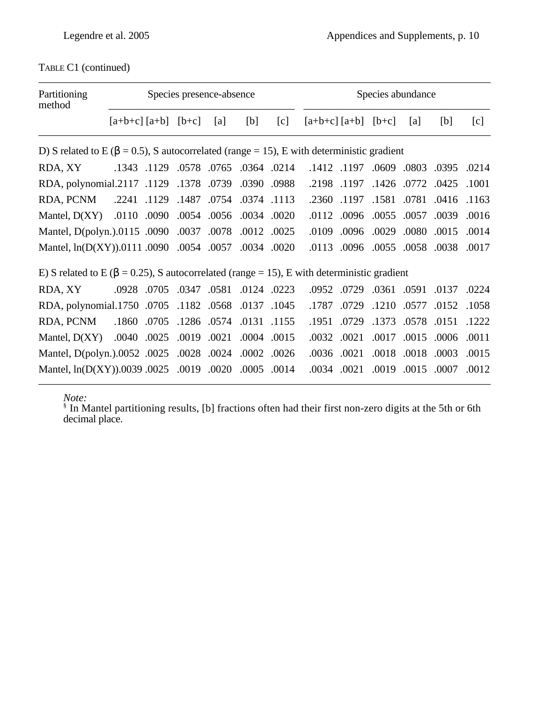| Partitioning<br>method                                                                       |                   | Species abundance |                         |             |                         |             |                   |            |                   |             |       |       |
|----------------------------------------------------------------------------------------------|-------------------|-------------------|-------------------------|-------------|-------------------------|-------------|-------------------|------------|-------------------|-------------|-------|-------|
|                                                                                              | $[a+b+c]$ $[a+b]$ |                   | $[b+c]$                 | [a]         | [b]                     | [c]         | $[a+b+c]$ $[a+b]$ |            | $[b+c]$           | [a]         | [b]   | [c]   |
| D) S related to E ( $= 0.5$ ), S autocorrelated (range = 15), E with deterministic gradient  |                   |                   |                         |             |                         |             |                   |            |                   |             |       |       |
| RDA, XY                                                                                      |                   | .1343.1129        |                         | .0578.0765  |                         | .0364.0214  |                   | .1412.1197 |                   | .0609.0803  | .0395 | .0214 |
| RDA, polynomial.2117 .1129 .1378 .0739                                                       |                   |                   |                         |             |                         | .0390.0988  |                   | .2198.1197 |                   | .1426 .0772 | .0425 | .1001 |
| RDA, PCNM                                                                                    |                   | .2241 .1129 .1487 |                         |             | .0754 .0374 .1113       |             | .2360             | .1197      |                   | .1581 .0781 | .0416 | .1163 |
| Mantel, $D(XY)$                                                                              |                   | .0110 .0090       | .0054                   | .0056       |                         | .0034 .0020 | .0112             | .0096      | .0055             | .0057       | .0039 | .0016 |
| Mantel, D(polyn.).0115 .0090                                                                 |                   |                   | .0037 .0078             |             |                         | .0012 .0025 | .0109             | .0096      | .0029             | .0080       | .0015 | .0014 |
| Mantel, ln(D(XY)).0111.0090.0054.0057                                                        |                   |                   |                         |             |                         | .0034 .0020 | .0113             | .0096      |                   | .0055 .0058 | .0038 | .0017 |
| E) S related to E ( $= 0.25$ ), S autocorrelated (range = 15), E with deterministic gradient |                   |                   |                         |             |                         |             |                   |            |                   |             |       |       |
| RDA, XY                                                                                      |                   | .0928.0705        |                         |             | .0347 .0581 .0124 .0223 |             | .0952             | .0729      | .0361 .0591 .0137 |             |       | .0224 |
| RDA, polynomial.1750 .0705                                                                   |                   |                   | .1182 .0568 .0137 .1045 |             |                         |             | .1787             | .0729      |                   | .1210.0577  | .0152 | .1058 |
| RDA, PCNM                                                                                    |                   | .1860.0705        |                         | .1286 .0574 |                         | .0131 .1155 | .1951             | .0729      | .1373             | .0578.0151  |       | .1222 |
| Mantel, $D(XY)$                                                                              |                   | .0040 .0025       | .0019                   | .0021       | .0004                   | .0015       | .0032             | .0021      |                   | .0017 .0015 | .0006 | .0011 |
| Mantel, D(polyn.).0052 .0025                                                                 |                   |                   |                         | .0028 .0024 | .0002                   | .0026       | .0036             | .0021      |                   | .0018.0018  | .0003 | .0015 |
| Mantel, ln(D(XY)).0039 .0025 .0019 .0020                                                     |                   |                   |                         |             | .0005                   | .0014       | .0034             | .0021      |                   | .0019 .0015 | .0007 | .0012 |

*Note:*<br><sup>§</sup> In Mantel partitioning results, [b] fractions often had their first non-zero digits at the 5th or 6th decimal place.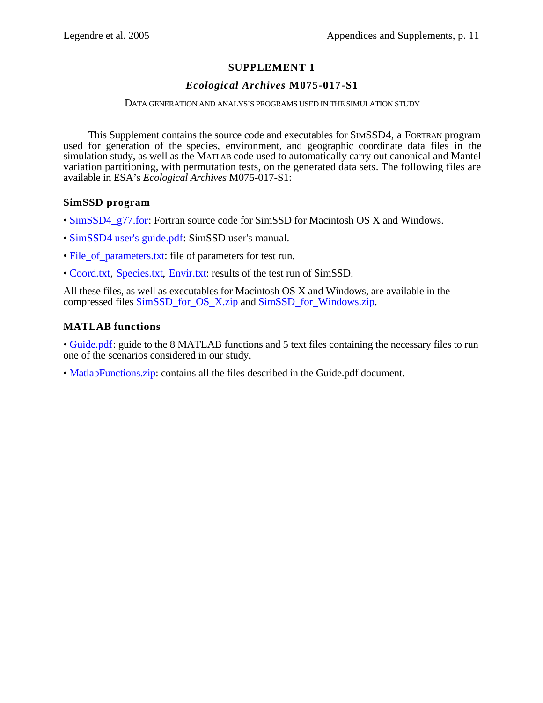# **SUPPLEMENT 1**

## *Ecological Archives* **M075-017-S1**

## DATA GENERATION AND ANALYSIS PROGRAMS USED IN THE SIMULATION STUDY

This Supplement contains the source code and executables for SIMSSD4, a FORTRAN program used for generation of the species, environment, and geographic coordinate data files in the simulation study, as well as the MATLAB code used to automatically carry out canonical and Mantel variation partitioning, with permutation tests, on the generated data sets. The following files are available in ESA's *Ecological Archives* M075-017-S1:

## **SimSSD program**

- SimSSD4\_g77.for: Fortran source code for SimSSD for Macintosh OS X and Windows.
- SimSSD4 user's guide.pdf: SimSSD user's manual.
- File of parameters.txt: file of parameters for test run.
- Coord.txt, Species.txt, Envir.txt: results of the test run of SimSSD.

All these files, as well as executables for Macintosh OS X and Windows, are available in the compressed files SimSSD\_for\_OS\_X.zip and SimSSD\_for\_Windows.zip.

## **MATLAB functions**

• Guide.pdf: guide to the 8 MATLAB functions and 5 text files containing the necessary files to run one of the scenarios considered in our study.

• MatlabFunctions.zip: contains all the files described in the Guide.pdf document.